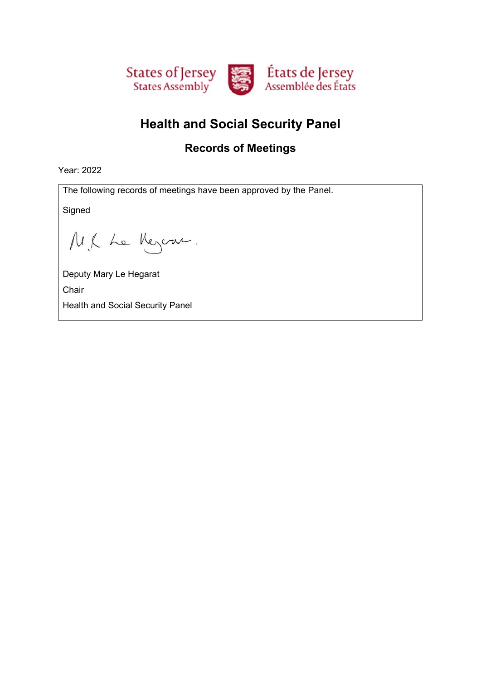

# **Health and Social Security Panel**

### **Records of Meetings**

Year: 2022

The following records of meetings have been approved by the Panel.

Signed

M.K Le Meyern.

Deputy Mary Le Hegarat Chair Health and Social Security Panel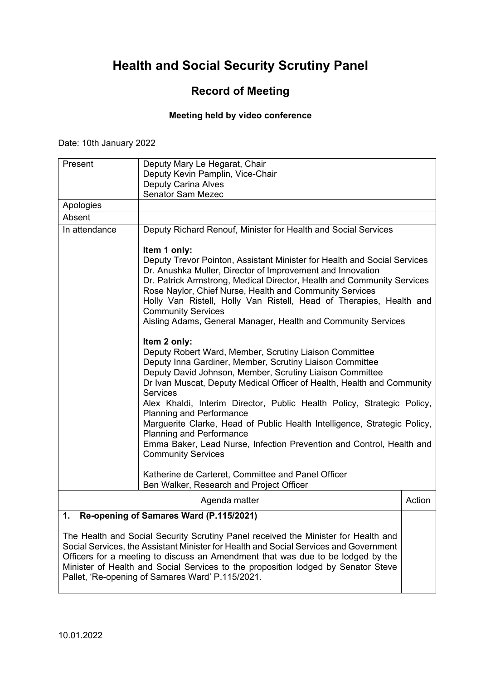### **Record of Meeting**

#### **Meeting held by video conference**

Date: 10th January 2022

| Present                                                                                                                                                                     | Deputy Mary Le Hegarat, Chair<br>Deputy Kevin Pamplin, Vice-Chair                                                                                                                                                                                                                                                                                                                                                                                                                                                                                                                                                            |        |
|-----------------------------------------------------------------------------------------------------------------------------------------------------------------------------|------------------------------------------------------------------------------------------------------------------------------------------------------------------------------------------------------------------------------------------------------------------------------------------------------------------------------------------------------------------------------------------------------------------------------------------------------------------------------------------------------------------------------------------------------------------------------------------------------------------------------|--------|
|                                                                                                                                                                             | <b>Deputy Carina Alves</b>                                                                                                                                                                                                                                                                                                                                                                                                                                                                                                                                                                                                   |        |
|                                                                                                                                                                             | <b>Senator Sam Mezec</b>                                                                                                                                                                                                                                                                                                                                                                                                                                                                                                                                                                                                     |        |
| Apologies                                                                                                                                                                   |                                                                                                                                                                                                                                                                                                                                                                                                                                                                                                                                                                                                                              |        |
| Absent                                                                                                                                                                      |                                                                                                                                                                                                                                                                                                                                                                                                                                                                                                                                                                                                                              |        |
| In attendance                                                                                                                                                               | Deputy Richard Renouf, Minister for Health and Social Services                                                                                                                                                                                                                                                                                                                                                                                                                                                                                                                                                               |        |
|                                                                                                                                                                             | Item 1 only:<br>Deputy Trevor Pointon, Assistant Minister for Health and Social Services<br>Dr. Anushka Muller, Director of Improvement and Innovation<br>Dr. Patrick Armstrong, Medical Director, Health and Community Services<br>Rose Naylor, Chief Nurse, Health and Community Services<br>Holly Van Ristell, Holly Van Ristell, Head of Therapies, Health and<br><b>Community Services</b><br>Aisling Adams, General Manager, Health and Community Services                                                                                                                                                             |        |
|                                                                                                                                                                             | Item 2 only:<br>Deputy Robert Ward, Member, Scrutiny Liaison Committee<br>Deputy Inna Gardiner, Member, Scrutiny Liaison Committee<br>Deputy David Johnson, Member, Scrutiny Liaison Committee<br>Dr Ivan Muscat, Deputy Medical Officer of Health, Health and Community<br><b>Services</b><br>Alex Khaldi, Interim Director, Public Health Policy, Strategic Policy,<br><b>Planning and Performance</b><br>Marguerite Clarke, Head of Public Health Intelligence, Strategic Policy,<br><b>Planning and Performance</b><br>Emma Baker, Lead Nurse, Infection Prevention and Control, Health and<br><b>Community Services</b> |        |
|                                                                                                                                                                             | Katherine de Carteret, Committee and Panel Officer<br>Ben Walker, Research and Project Officer                                                                                                                                                                                                                                                                                                                                                                                                                                                                                                                               |        |
|                                                                                                                                                                             | Agenda matter                                                                                                                                                                                                                                                                                                                                                                                                                                                                                                                                                                                                                | Action |
| 1.                                                                                                                                                                          | Re-opening of Samares Ward (P.115/2021)                                                                                                                                                                                                                                                                                                                                                                                                                                                                                                                                                                                      |        |
| The Health and Social Security Scrutiny Panel received the Minister for Health and<br>Social Services, the Assistant Minister for Health and Social Services and Government |                                                                                                                                                                                                                                                                                                                                                                                                                                                                                                                                                                                                                              |        |

Social Services, the Assistant Minister for Health and Social Services and Government Officers for a meeting to discuss an Amendment that was due to be lodged by the Minister of Health and Social Services to the proposition lodged by Senator Steve Pallet, 'Re-opening of Samares Ward' P.115/2021.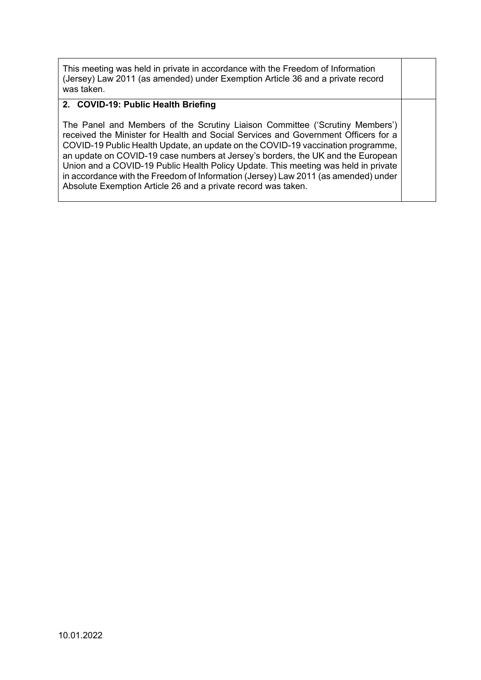This meeting was held in private in accordance with the Freedom of Information (Jersey) Law 2011 (as amended) under Exemption Article 36 and a private record was taken.

#### **2. COVID-19: Public Health Briefing**

The Panel and Members of the Scrutiny Liaison Committee ('Scrutiny Members') received the Minister for Health and Social Services and Government Officers for a COVID-19 Public Health Update, an update on the COVID-19 vaccination programme, an update on COVID-19 case numbers at Jersey's borders, the UK and the European Union and a COVID-19 Public Health Policy Update. This meeting was held in private in accordance with the Freedom of Information (Jersey) Law 2011 (as amended) under Absolute Exemption Article 26 and a private record was taken.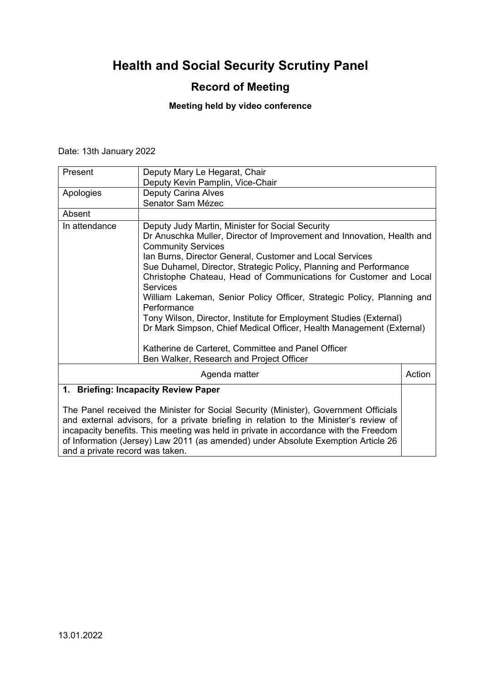## **Record of Meeting**

#### **Meeting held by video conference**

Date: 13th January 2022

| Present                                                                                                                                                                                                                                                                                                                                                    | Deputy Mary Le Hegarat, Chair                                                                                                                                                                                                                                                                                                                                                                                                                                                                                                                                                                                           |  |
|------------------------------------------------------------------------------------------------------------------------------------------------------------------------------------------------------------------------------------------------------------------------------------------------------------------------------------------------------------|-------------------------------------------------------------------------------------------------------------------------------------------------------------------------------------------------------------------------------------------------------------------------------------------------------------------------------------------------------------------------------------------------------------------------------------------------------------------------------------------------------------------------------------------------------------------------------------------------------------------------|--|
|                                                                                                                                                                                                                                                                                                                                                            | Deputy Kevin Pamplin, Vice-Chair                                                                                                                                                                                                                                                                                                                                                                                                                                                                                                                                                                                        |  |
| Apologies                                                                                                                                                                                                                                                                                                                                                  | <b>Deputy Carina Alves</b>                                                                                                                                                                                                                                                                                                                                                                                                                                                                                                                                                                                              |  |
|                                                                                                                                                                                                                                                                                                                                                            | Senator Sam Mézec                                                                                                                                                                                                                                                                                                                                                                                                                                                                                                                                                                                                       |  |
| Absent                                                                                                                                                                                                                                                                                                                                                     |                                                                                                                                                                                                                                                                                                                                                                                                                                                                                                                                                                                                                         |  |
| In attendance                                                                                                                                                                                                                                                                                                                                              | Deputy Judy Martin, Minister for Social Security<br>Dr Anuschka Muller, Director of Improvement and Innovation, Health and<br><b>Community Services</b><br>Ian Burns, Director General, Customer and Local Services<br>Sue Duhamel, Director, Strategic Policy, Planning and Performance<br>Christophe Chateau, Head of Communications for Customer and Local<br><b>Services</b><br>William Lakeman, Senior Policy Officer, Strategic Policy, Planning and<br>Performance<br>Tony Wilson, Director, Institute for Employment Studies (External)<br>Dr Mark Simpson, Chief Medical Officer, Health Management (External) |  |
|                                                                                                                                                                                                                                                                                                                                                            | Katherine de Carteret, Committee and Panel Officer<br>Ben Walker, Research and Project Officer                                                                                                                                                                                                                                                                                                                                                                                                                                                                                                                          |  |
| Action<br>Agenda matter                                                                                                                                                                                                                                                                                                                                    |                                                                                                                                                                                                                                                                                                                                                                                                                                                                                                                                                                                                                         |  |
| 1. Briefing: Incapacity Review Paper                                                                                                                                                                                                                                                                                                                       |                                                                                                                                                                                                                                                                                                                                                                                                                                                                                                                                                                                                                         |  |
| The Panel received the Minister for Social Security (Minister), Government Officials<br>and external advisors, for a private briefing in relation to the Minister's review of<br>incapacity benefits. This meeting was held in private in accordance with the Freedom<br>of Information (Jersey) Law 2011 (as amended) under Absolute Exemption Article 26 |                                                                                                                                                                                                                                                                                                                                                                                                                                                                                                                                                                                                                         |  |

and a private record was taken.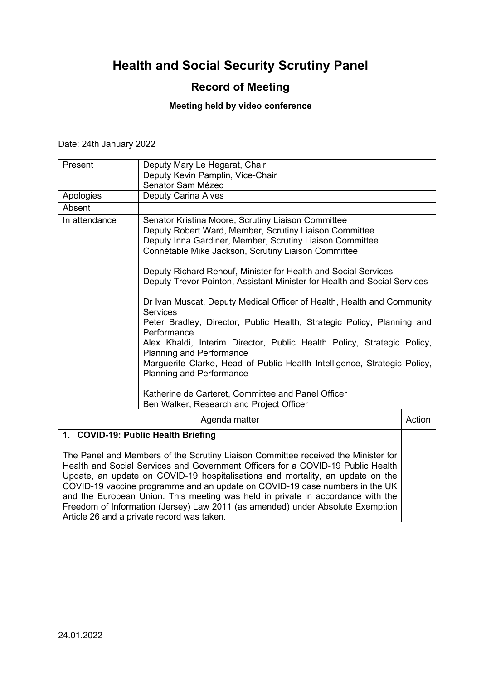## **Record of Meeting**

#### **Meeting held by video conference**

Date: 24th January 2022

| Present                                                                                                                                                                                                                                                                                                                                                                                                                                                                                                    | Deputy Mary Le Hegarat, Chair                                                                                                                                                                                                                                                                                                                                                                                                                                                                                                                                                                                                                                                                                                                                                                                                                         |        |
|------------------------------------------------------------------------------------------------------------------------------------------------------------------------------------------------------------------------------------------------------------------------------------------------------------------------------------------------------------------------------------------------------------------------------------------------------------------------------------------------------------|-------------------------------------------------------------------------------------------------------------------------------------------------------------------------------------------------------------------------------------------------------------------------------------------------------------------------------------------------------------------------------------------------------------------------------------------------------------------------------------------------------------------------------------------------------------------------------------------------------------------------------------------------------------------------------------------------------------------------------------------------------------------------------------------------------------------------------------------------------|--------|
|                                                                                                                                                                                                                                                                                                                                                                                                                                                                                                            | Deputy Kevin Pamplin, Vice-Chair                                                                                                                                                                                                                                                                                                                                                                                                                                                                                                                                                                                                                                                                                                                                                                                                                      |        |
|                                                                                                                                                                                                                                                                                                                                                                                                                                                                                                            | Senator Sam Mézec                                                                                                                                                                                                                                                                                                                                                                                                                                                                                                                                                                                                                                                                                                                                                                                                                                     |        |
| Apologies                                                                                                                                                                                                                                                                                                                                                                                                                                                                                                  | <b>Deputy Carina Alves</b>                                                                                                                                                                                                                                                                                                                                                                                                                                                                                                                                                                                                                                                                                                                                                                                                                            |        |
| Absent                                                                                                                                                                                                                                                                                                                                                                                                                                                                                                     |                                                                                                                                                                                                                                                                                                                                                                                                                                                                                                                                                                                                                                                                                                                                                                                                                                                       |        |
| In attendance                                                                                                                                                                                                                                                                                                                                                                                                                                                                                              | Senator Kristina Moore, Scrutiny Liaison Committee<br>Deputy Robert Ward, Member, Scrutiny Liaison Committee<br>Deputy Inna Gardiner, Member, Scrutiny Liaison Committee<br>Connétable Mike Jackson, Scrutiny Liaison Committee<br>Deputy Richard Renouf, Minister for Health and Social Services<br>Deputy Trevor Pointon, Assistant Minister for Health and Social Services<br>Dr Ivan Muscat, Deputy Medical Officer of Health, Health and Community<br><b>Services</b><br>Peter Bradley, Director, Public Health, Strategic Policy, Planning and<br>Performance<br>Alex Khaldi, Interim Director, Public Health Policy, Strategic Policy,<br><b>Planning and Performance</b><br>Marguerite Clarke, Head of Public Health Intelligence, Strategic Policy,<br><b>Planning and Performance</b><br>Katherine de Carteret, Committee and Panel Officer |        |
|                                                                                                                                                                                                                                                                                                                                                                                                                                                                                                            | Ben Walker, Research and Project Officer                                                                                                                                                                                                                                                                                                                                                                                                                                                                                                                                                                                                                                                                                                                                                                                                              |        |
|                                                                                                                                                                                                                                                                                                                                                                                                                                                                                                            | Agenda matter                                                                                                                                                                                                                                                                                                                                                                                                                                                                                                                                                                                                                                                                                                                                                                                                                                         | Action |
|                                                                                                                                                                                                                                                                                                                                                                                                                                                                                                            | 1. COVID-19: Public Health Briefing                                                                                                                                                                                                                                                                                                                                                                                                                                                                                                                                                                                                                                                                                                                                                                                                                   |        |
| The Panel and Members of the Scrutiny Liaison Committee received the Minister for<br>Health and Social Services and Government Officers for a COVID-19 Public Health<br>Update, an update on COVID-19 hospitalisations and mortality, an update on the<br>COVID-19 vaccine programme and an update on COVID-19 case numbers in the UK<br>and the European Union. This meeting was held in private in accordance with the<br>Freedom of Information (Jersey) Law 2011 (as amended) under Absolute Exemption |                                                                                                                                                                                                                                                                                                                                                                                                                                                                                                                                                                                                                                                                                                                                                                                                                                                       |        |

Article 26 and a private record was taken.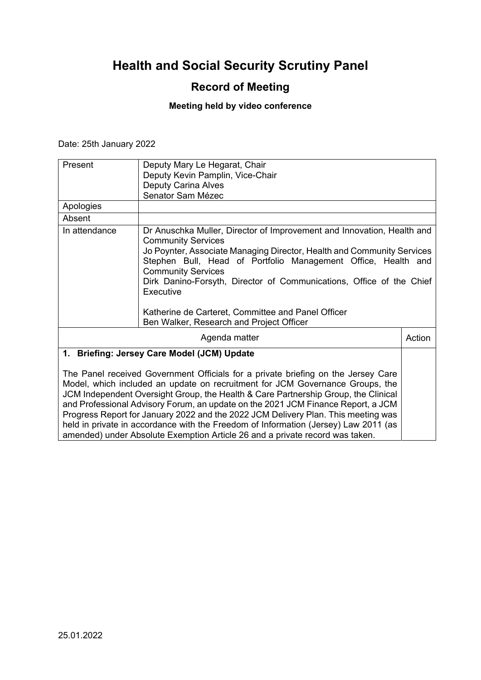### **Record of Meeting**

#### **Meeting held by video conference**

Date: 25th January 2022

| Present                                     | Deputy Mary Le Hegarat, Chair                                                                                                                                                                                                                                                                                                                                                                                          |        |
|---------------------------------------------|------------------------------------------------------------------------------------------------------------------------------------------------------------------------------------------------------------------------------------------------------------------------------------------------------------------------------------------------------------------------------------------------------------------------|--------|
|                                             | Deputy Kevin Pamplin, Vice-Chair                                                                                                                                                                                                                                                                                                                                                                                       |        |
|                                             | <b>Deputy Carina Alves</b>                                                                                                                                                                                                                                                                                                                                                                                             |        |
|                                             | Senator Sam Mézec                                                                                                                                                                                                                                                                                                                                                                                                      |        |
| Apologies                                   |                                                                                                                                                                                                                                                                                                                                                                                                                        |        |
| Absent                                      |                                                                                                                                                                                                                                                                                                                                                                                                                        |        |
| In attendance                               | Dr Anuschka Muller, Director of Improvement and Innovation, Health and<br><b>Community Services</b><br>Jo Poynter, Associate Managing Director, Health and Community Services<br>Stephen Bull, Head of Portfolio Management Office, Health and<br><b>Community Services</b><br>Dirk Danino-Forsyth, Director of Communications, Office of the Chief<br>Executive<br>Katherine de Carteret, Committee and Panel Officer |        |
|                                             | Ben Walker, Research and Project Officer                                                                                                                                                                                                                                                                                                                                                                               |        |
| Agenda matter                               |                                                                                                                                                                                                                                                                                                                                                                                                                        | Action |
| 1. Briefing: Jersey Care Model (JCM) Update |                                                                                                                                                                                                                                                                                                                                                                                                                        |        |
|                                             | The Denel resolved Covernment Officials for a private bristing on the Jaroov Care                                                                                                                                                                                                                                                                                                                                      |        |

The Panel received Government Officials for a private briefing on the Jersey Care Model, which included an update on recruitment for JCM Governance Groups, the JCM Independent Oversight Group, the Health & Care Partnership Group, the Clinical and Professional Advisory Forum, an update on the 2021 JCM Finance Report, a JCM Progress Report for January 2022 and the 2022 JCM Delivery Plan. This meeting was held in private in accordance with the Freedom of Information (Jersey) Law 2011 (as amended) under Absolute Exemption Article 26 and a private record was taken.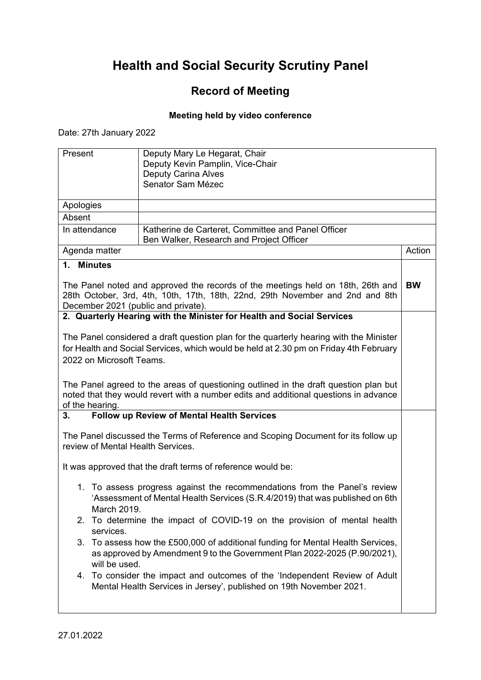## **Record of Meeting**

#### **Meeting held by video conference**

Date: 27th January 2022

| Present                             | Deputy Mary Le Hegarat, Chair                                                                                                                                    |           |
|-------------------------------------|------------------------------------------------------------------------------------------------------------------------------------------------------------------|-----------|
|                                     | Deputy Kevin Pamplin, Vice-Chair                                                                                                                                 |           |
|                                     | <b>Deputy Carina Alves</b>                                                                                                                                       |           |
|                                     | Senator Sam Mézec                                                                                                                                                |           |
|                                     |                                                                                                                                                                  |           |
| Apologies                           |                                                                                                                                                                  |           |
| Absent                              |                                                                                                                                                                  |           |
| In attendance                       | Katherine de Carteret, Committee and Panel Officer<br>Ben Walker, Research and Project Officer                                                                   |           |
| Agenda matter                       |                                                                                                                                                                  | Action    |
| 1. Minutes                          |                                                                                                                                                                  |           |
|                                     |                                                                                                                                                                  |           |
|                                     | The Panel noted and approved the records of the meetings held on 18th, 26th and<br>28th October, 3rd, 4th, 10th, 17th, 18th, 22nd, 29th November and 2nd and 8th | <b>BW</b> |
| December 2021 (public and private). |                                                                                                                                                                  |           |
|                                     | 2. Quarterly Hearing with the Minister for Health and Social Services                                                                                            |           |
|                                     | The Panel considered a draft question plan for the quarterly hearing with the Minister                                                                           |           |
|                                     | for Health and Social Services, which would be held at 2.30 pm on Friday 4th February                                                                            |           |
| 2022 on Microsoft Teams.            |                                                                                                                                                                  |           |
|                                     |                                                                                                                                                                  |           |
|                                     | The Panel agreed to the areas of questioning outlined in the draft question plan but                                                                             |           |
|                                     | noted that they would revert with a number edits and additional questions in advance                                                                             |           |
| of the hearing.                     |                                                                                                                                                                  |           |
| 3.                                  | <b>Follow up Review of Mental Health Services</b>                                                                                                                |           |
|                                     | The Panel discussed the Terms of Reference and Scoping Document for its follow up                                                                                |           |
| review of Mental Health Services.   |                                                                                                                                                                  |           |
|                                     |                                                                                                                                                                  |           |
|                                     | It was approved that the draft terms of reference would be:                                                                                                      |           |
| 1.                                  | To assess progress against the recommendations from the Panel's review                                                                                           |           |
|                                     | 'Assessment of Mental Health Services (S.R.4/2019) that was published on 6th                                                                                     |           |
| March 2019.                         |                                                                                                                                                                  |           |
| 2.                                  | To determine the impact of COVID-19 on the provision of mental health                                                                                            |           |
| services.                           |                                                                                                                                                                  |           |
|                                     | 3. To assess how the £500,000 of additional funding for Mental Health Services,<br>as approved by Amendment 9 to the Government Plan 2022-2025 (P.90/2021),      |           |
| will be used.                       |                                                                                                                                                                  |           |
|                                     | 4. To consider the impact and outcomes of the 'Independent Review of Adult<br>Mental Health Services in Jersey', published on 19th November 2021.                |           |
|                                     |                                                                                                                                                                  |           |
|                                     |                                                                                                                                                                  |           |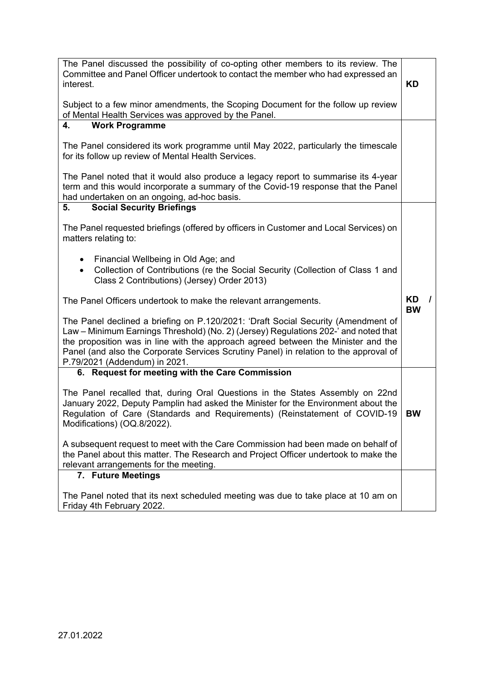| The Panel discussed the possibility of co-opting other members to its review. The<br>Committee and Panel Officer undertook to contact the member who had expressed an<br>interest.                                                                                                                                                                                                      | <b>KD</b>       |
|-----------------------------------------------------------------------------------------------------------------------------------------------------------------------------------------------------------------------------------------------------------------------------------------------------------------------------------------------------------------------------------------|-----------------|
| Subject to a few minor amendments, the Scoping Document for the follow up review<br>of Mental Health Services was approved by the Panel.                                                                                                                                                                                                                                                |                 |
| <b>Work Programme</b><br>4.                                                                                                                                                                                                                                                                                                                                                             |                 |
| The Panel considered its work programme until May 2022, particularly the timescale<br>for its follow up review of Mental Health Services.                                                                                                                                                                                                                                               |                 |
| The Panel noted that it would also produce a legacy report to summarise its 4-year<br>term and this would incorporate a summary of the Covid-19 response that the Panel<br>had undertaken on an ongoing, ad-hoc basis.                                                                                                                                                                  |                 |
| <b>Social Security Briefings</b><br>5.                                                                                                                                                                                                                                                                                                                                                  |                 |
| The Panel requested briefings (offered by officers in Customer and Local Services) on<br>matters relating to:                                                                                                                                                                                                                                                                           |                 |
| Financial Wellbeing in Old Age; and<br>$\bullet$<br>Collection of Contributions (re the Social Security (Collection of Class 1 and<br>$\bullet$<br>Class 2 Contributions) (Jersey) Order 2013)                                                                                                                                                                                          |                 |
| The Panel Officers undertook to make the relevant arrangements.                                                                                                                                                                                                                                                                                                                         | KD<br><b>BW</b> |
| The Panel declined a briefing on P.120/2021: 'Draft Social Security (Amendment of<br>Law – Minimum Earnings Threshold) (No. 2) (Jersey) Regulations 202-' and noted that<br>the proposition was in line with the approach agreed between the Minister and the<br>Panel (and also the Corporate Services Scrutiny Panel) in relation to the approval of<br>P.79/2021 (Addendum) in 2021. |                 |
| 6. Request for meeting with the Care Commission                                                                                                                                                                                                                                                                                                                                         |                 |
| The Panel recalled that, during Oral Questions in the States Assembly on 22nd<br>January 2022, Deputy Pamplin had asked the Minister for the Environment about the<br>Regulation of Care (Standards and Requirements) (Reinstatement of COVID-19<br>Modifications) (OQ.8/2022).                                                                                                         | <b>BW</b>       |
| A subsequent request to meet with the Care Commission had been made on behalf of<br>the Panel about this matter. The Research and Project Officer undertook to make the<br>relevant arrangements for the meeting.                                                                                                                                                                       |                 |
| 7. Future Meetings                                                                                                                                                                                                                                                                                                                                                                      |                 |
| The Panel noted that its next scheduled meeting was due to take place at 10 am on<br>Friday 4th February 2022.                                                                                                                                                                                                                                                                          |                 |
|                                                                                                                                                                                                                                                                                                                                                                                         |                 |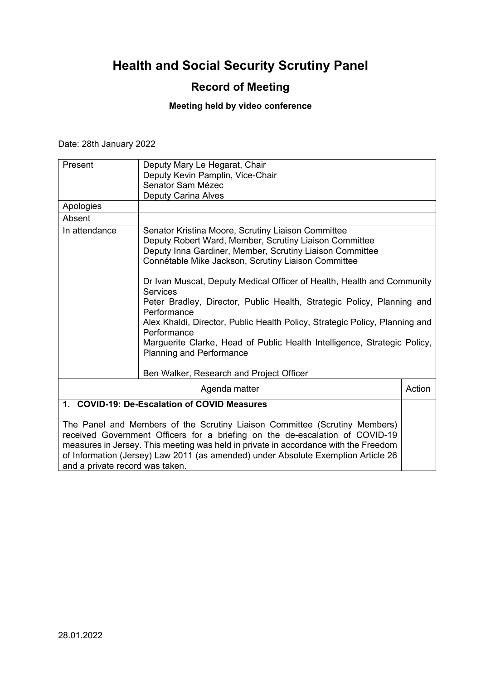## **Record of Meeting**

## **Meeting held by video conference**

Date: 28th January 2022

| Present                                      | Deputy Mary Le Hegarat, Chair<br>Deputy Kevin Pamplin, Vice-Chair                                                                                                                                                                                                                                                                      |        |
|----------------------------------------------|----------------------------------------------------------------------------------------------------------------------------------------------------------------------------------------------------------------------------------------------------------------------------------------------------------------------------------------|--------|
|                                              | Senator Sam Mézec<br><b>Deputy Carina Alves</b>                                                                                                                                                                                                                                                                                        |        |
| Apologies                                    |                                                                                                                                                                                                                                                                                                                                        |        |
| Absent                                       |                                                                                                                                                                                                                                                                                                                                        |        |
| In attendance                                | Senator Kristina Moore, Scrutiny Liaison Committee<br>Deputy Robert Ward, Member, Scrutiny Liaison Committee<br>Deputy Inna Gardiner, Member, Scrutiny Liaison Committee<br>Connétable Mike Jackson, Scrutiny Liaison Committee                                                                                                        |        |
|                                              | Dr Ivan Muscat, Deputy Medical Officer of Health, Health and Community<br><b>Services</b><br>Peter Bradley, Director, Public Health, Strategic Policy, Planning and<br>Performance<br>Alex Khaldi, Director, Public Health Policy, Strategic Policy, Planning and                                                                      |        |
|                                              | Performance<br>Marguerite Clarke, Head of Public Health Intelligence, Strategic Policy,<br><b>Planning and Performance</b>                                                                                                                                                                                                             |        |
|                                              | Ben Walker, Research and Project Officer                                                                                                                                                                                                                                                                                               |        |
|                                              | Agenda matter                                                                                                                                                                                                                                                                                                                          | Action |
| 1. COVID-19: De-Escalation of COVID Measures |                                                                                                                                                                                                                                                                                                                                        |        |
| and a private record was taken.              | The Panel and Members of the Scrutiny Liaison Committee (Scrutiny Members)<br>received Government Officers for a briefing on the de-escalation of COVID-19<br>measures in Jersey. This meeting was held in private in accordance with the Freedom<br>of Information (Jersey) Law 2011 (as amended) under Absolute Exemption Article 26 |        |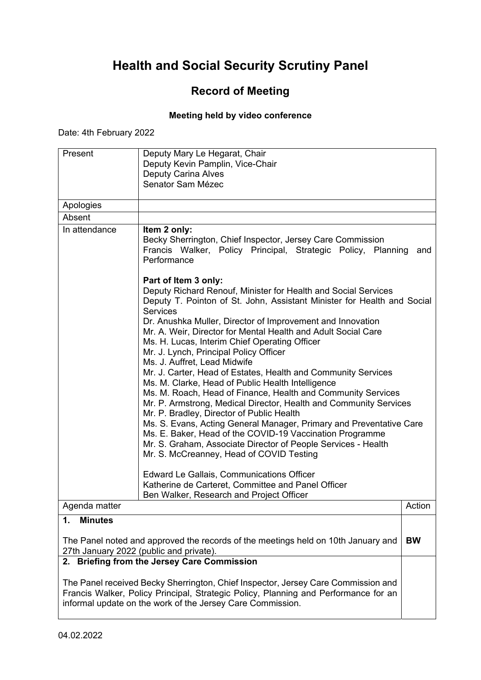### **Record of Meeting**

#### **Meeting held by video conference**

Date: 4th February 2022

| Present              | Deputy Mary Le Hegarat, Chair<br>Deputy Kevin Pamplin, Vice-Chair<br><b>Deputy Carina Alves</b>                                                                                                                                                                                                      |           |
|----------------------|------------------------------------------------------------------------------------------------------------------------------------------------------------------------------------------------------------------------------------------------------------------------------------------------------|-----------|
|                      | Senator Sam Mézec                                                                                                                                                                                                                                                                                    |           |
| Apologies            |                                                                                                                                                                                                                                                                                                      |           |
| Absent               |                                                                                                                                                                                                                                                                                                      |           |
| In attendance        | Item 2 only:<br>Becky Sherrington, Chief Inspector, Jersey Care Commission<br>Francis Walker, Policy Principal, Strategic Policy, Planning<br>Performance                                                                                                                                            | and       |
|                      | Part of Item 3 only:<br>Deputy Richard Renouf, Minister for Health and Social Services<br>Deputy T. Pointon of St. John, Assistant Minister for Health and Social<br><b>Services</b><br>Dr. Anushka Muller, Director of Improvement and Innovation                                                   |           |
|                      | Mr. A. Weir, Director for Mental Health and Adult Social Care<br>Ms. H. Lucas, Interim Chief Operating Officer<br>Mr. J. Lynch, Principal Policy Officer<br>Ms. J. Auffret, Lead Midwife                                                                                                             |           |
|                      | Mr. J. Carter, Head of Estates, Health and Community Services<br>Ms. M. Clarke, Head of Public Health Intelligence<br>Ms. M. Roach, Head of Finance, Health and Community Services<br>Mr. P. Armstrong, Medical Director, Health and Community Services<br>Mr. P. Bradley, Director of Public Health |           |
|                      | Ms. S. Evans, Acting General Manager, Primary and Preventative Care<br>Ms. E. Baker, Head of the COVID-19 Vaccination Programme<br>Mr. S. Graham, Associate Director of People Services - Health<br>Mr. S. McCreanney, Head of COVID Testing                                                         |           |
|                      | Edward Le Gallais, Communications Officer<br>Katherine de Carteret, Committee and Panel Officer<br>Ben Walker, Research and Project Officer                                                                                                                                                          |           |
| Agenda matter        |                                                                                                                                                                                                                                                                                                      | Action    |
| 1.<br><b>Minutes</b> |                                                                                                                                                                                                                                                                                                      |           |
|                      | The Panel noted and approved the records of the meetings held on 10th January and<br>27th January 2022 (public and private).                                                                                                                                                                         | <b>BW</b> |
|                      | 2. Briefing from the Jersey Care Commission<br>The Panel received Recky Shorrington, Chief Inspector, Jersey Care Commission and                                                                                                                                                                     |           |

The Panel received Becky Sherrington, Chief Inspector, Jersey Care Commission and Francis Walker, Policy Principal, Strategic Policy, Planning and Performance for an informal update on the work of the Jersey Care Commission.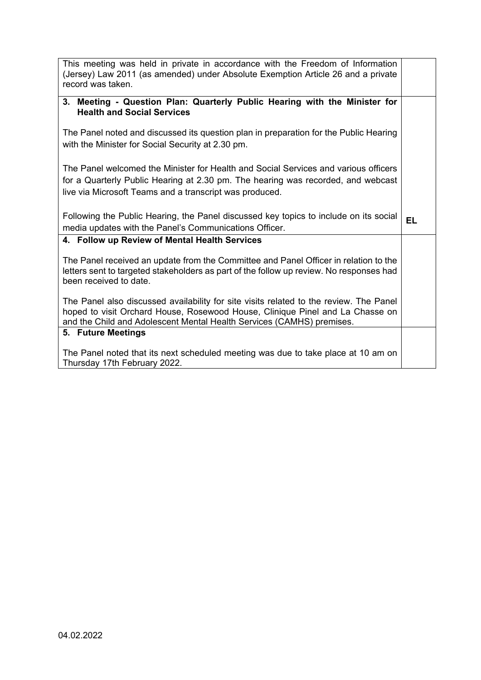| This meeting was held in private in accordance with the Freedom of Information<br>(Jersey) Law 2011 (as amended) under Absolute Exemption Article 26 and a private<br>record was taken.                                                          |           |
|--------------------------------------------------------------------------------------------------------------------------------------------------------------------------------------------------------------------------------------------------|-----------|
|                                                                                                                                                                                                                                                  |           |
| 3. Meeting - Question Plan: Quarterly Public Hearing with the Minister for<br><b>Health and Social Services</b>                                                                                                                                  |           |
| The Panel noted and discussed its question plan in preparation for the Public Hearing<br>with the Minister for Social Security at 2.30 pm.                                                                                                       |           |
| The Panel welcomed the Minister for Health and Social Services and various officers<br>for a Quarterly Public Hearing at 2.30 pm. The hearing was recorded, and webcast<br>live via Microsoft Teams and a transcript was produced.               |           |
| Following the Public Hearing, the Panel discussed key topics to include on its social<br>media updates with the Panel's Communications Officer.                                                                                                  | <b>EL</b> |
| 4. Follow up Review of Mental Health Services                                                                                                                                                                                                    |           |
| The Panel received an update from the Committee and Panel Officer in relation to the<br>letters sent to targeted stakeholders as part of the follow up review. No responses had<br>been received to date.                                        |           |
| The Panel also discussed availability for site visits related to the review. The Panel<br>hoped to visit Orchard House, Rosewood House, Clinique Pinel and La Chasse on<br>and the Child and Adolescent Mental Health Services (CAMHS) premises. |           |
| 5. Future Meetings                                                                                                                                                                                                                               |           |
|                                                                                                                                                                                                                                                  |           |
| The Panel noted that its next scheduled meeting was due to take place at 10 am on<br>Thursday 17th February 2022.                                                                                                                                |           |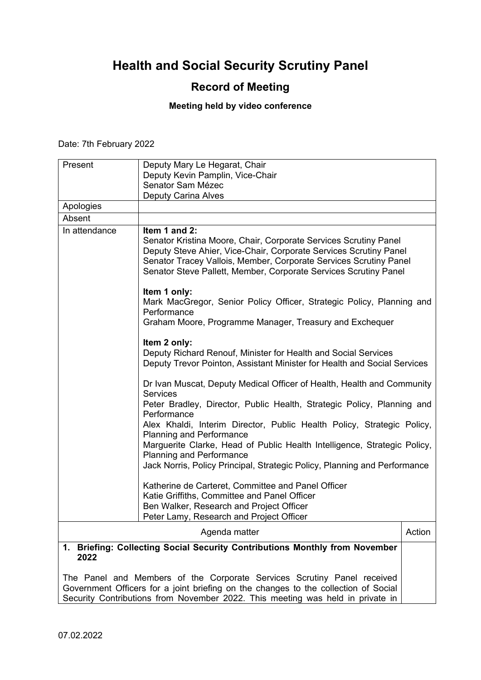## **Record of Meeting**

#### **Meeting held by video conference**

Date: 7th February 2022

| Present       | Deputy Mary Le Hegarat, Chair                                                                                                                                                                                                                                                                                                                                                                                                                                                                                                                                                                                                    |        |
|---------------|----------------------------------------------------------------------------------------------------------------------------------------------------------------------------------------------------------------------------------------------------------------------------------------------------------------------------------------------------------------------------------------------------------------------------------------------------------------------------------------------------------------------------------------------------------------------------------------------------------------------------------|--------|
|               | Deputy Kevin Pamplin, Vice-Chair                                                                                                                                                                                                                                                                                                                                                                                                                                                                                                                                                                                                 |        |
|               | Senator Sam Mézec                                                                                                                                                                                                                                                                                                                                                                                                                                                                                                                                                                                                                |        |
|               | <b>Deputy Carina Alves</b>                                                                                                                                                                                                                                                                                                                                                                                                                                                                                                                                                                                                       |        |
| Apologies     |                                                                                                                                                                                                                                                                                                                                                                                                                                                                                                                                                                                                                                  |        |
| Absent        |                                                                                                                                                                                                                                                                                                                                                                                                                                                                                                                                                                                                                                  |        |
| In attendance | Item 1 and 2:<br>Senator Kristina Moore, Chair, Corporate Services Scrutiny Panel<br>Deputy Steve Ahier, Vice-Chair, Corporate Services Scrutiny Panel<br>Senator Tracey Vallois, Member, Corporate Services Scrutiny Panel<br>Senator Steve Pallett, Member, Corporate Services Scrutiny Panel<br>Item 1 only:<br>Mark MacGregor, Senior Policy Officer, Strategic Policy, Planning and<br>Performance<br>Graham Moore, Programme Manager, Treasury and Exchequer<br>Item 2 only:<br>Deputy Richard Renouf, Minister for Health and Social Services<br>Deputy Trevor Pointon, Assistant Minister for Health and Social Services |        |
|               |                                                                                                                                                                                                                                                                                                                                                                                                                                                                                                                                                                                                                                  |        |
|               | Dr Ivan Muscat, Deputy Medical Officer of Health, Health and Community<br><b>Services</b><br>Peter Bradley, Director, Public Health, Strategic Policy, Planning and<br>Performance<br>Alex Khaldi, Interim Director, Public Health Policy, Strategic Policy,<br><b>Planning and Performance</b><br>Marguerite Clarke, Head of Public Health Intelligence, Strategic Policy,<br><b>Planning and Performance</b><br>Jack Norris, Policy Principal, Strategic Policy, Planning and Performance<br>Katherine de Carteret, Committee and Panel Officer                                                                                |        |
|               | Katie Griffiths, Committee and Panel Officer<br>Ben Walker, Research and Project Officer<br>Peter Lamy, Research and Project Officer                                                                                                                                                                                                                                                                                                                                                                                                                                                                                             |        |
|               | Agenda matter                                                                                                                                                                                                                                                                                                                                                                                                                                                                                                                                                                                                                    | Action |
|               | 1. Briefing: Collecting Social Security Contributions Monthly from November                                                                                                                                                                                                                                                                                                                                                                                                                                                                                                                                                      |        |
| 2022          |                                                                                                                                                                                                                                                                                                                                                                                                                                                                                                                                                                                                                                  |        |
|               | The Panel and Members of the Corporate Services Scrutiny Panel received<br>Government Officers for a joint briefing on the changes to the collection of Social                                                                                                                                                                                                                                                                                                                                                                                                                                                                   |        |

Security Contributions from November 2022. This meeting was held in private in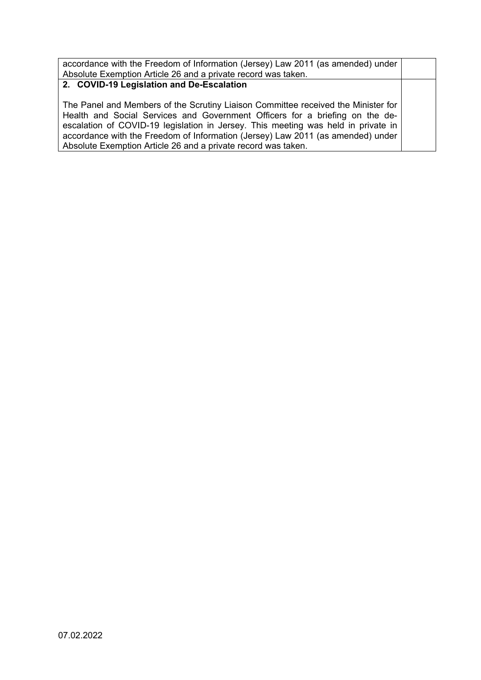accordance with the Freedom of Information (Jersey) Law 2011 (as amended) under Absolute Exemption Article 26 and a private record was taken.

#### **2. COVID-19 Legislation and De-Escalation**

The Panel and Members of the Scrutiny Liaison Committee received the Minister for Health and Social Services and Government Officers for a briefing on the deescalation of COVID-19 legislation in Jersey. This meeting was held in private in accordance with the Freedom of Information (Jersey) Law 2011 (as amended) under Absolute Exemption Article 26 and a private record was taken.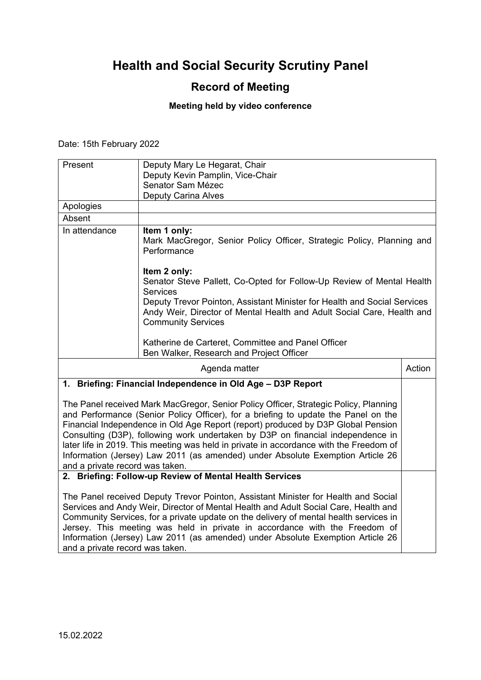### **Record of Meeting**

#### **Meeting held by video conference**

Date: 15th February 2022

| Present                                                        | Deputy Mary Le Hegarat, Chair<br>Deputy Kevin Pamplin, Vice-Chair<br>Senator Sam Mézec<br><b>Deputy Carina Alves</b>                                                                                                                                                                                                                                                                                |        |
|----------------------------------------------------------------|-----------------------------------------------------------------------------------------------------------------------------------------------------------------------------------------------------------------------------------------------------------------------------------------------------------------------------------------------------------------------------------------------------|--------|
| Apologies                                                      |                                                                                                                                                                                                                                                                                                                                                                                                     |        |
| Absent                                                         |                                                                                                                                                                                                                                                                                                                                                                                                     |        |
| In attendance                                                  | Item 1 only:<br>Mark MacGregor, Senior Policy Officer, Strategic Policy, Planning and<br>Performance<br>Item 2 only:<br>Senator Steve Pallett, Co-Opted for Follow-Up Review of Mental Health<br><b>Services</b><br>Deputy Trevor Pointon, Assistant Minister for Health and Social Services<br>Andy Weir, Director of Mental Health and Adult Social Care, Health and<br><b>Community Services</b> |        |
|                                                                | Katherine de Carteret, Committee and Panel Officer<br>Ben Walker, Research and Project Officer                                                                                                                                                                                                                                                                                                      |        |
|                                                                | Agenda matter                                                                                                                                                                                                                                                                                                                                                                                       | Action |
| Briefing: Financial Independence in Old Age - D3P Report<br>1. |                                                                                                                                                                                                                                                                                                                                                                                                     |        |

The Panel received Mark MacGregor, Senior Policy Officer, Strategic Policy, Planning and Performance (Senior Policy Officer), for a briefing to update the Panel on the Financial Independence in Old Age Report (report) produced by D3P Global Pension Consulting (D3P), following work undertaken by D3P on financial independence in later life in 2019. This meeting was held in private in accordance with the Freedom of Information (Jersey) Law 2011 (as amended) under Absolute Exemption Article 26 and a private record was taken.

**2. Briefing: Follow-up Review of Mental Health Services**

The Panel received Deputy Trevor Pointon, Assistant Minister for Health and Social Services and Andy Weir, Director of Mental Health and Adult Social Care, Health and Community Services, for a private update on the delivery of mental health services in Jersey. This meeting was held in private in accordance with the Freedom of Information (Jersey) Law 2011 (as amended) under Absolute Exemption Article 26 and a private record was taken.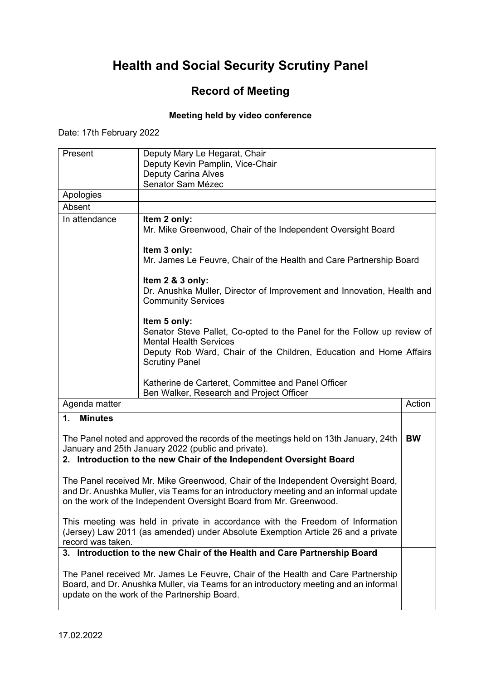## **Record of Meeting**

#### **Meeting held by video conference**

Date: 17th February 2022

| Present                                                                                                                                                                                                                                        | Deputy Mary Le Hegarat, Chair                                                                                                                                                                                           |           |
|------------------------------------------------------------------------------------------------------------------------------------------------------------------------------------------------------------------------------------------------|-------------------------------------------------------------------------------------------------------------------------------------------------------------------------------------------------------------------------|-----------|
|                                                                                                                                                                                                                                                | Deputy Kevin Pamplin, Vice-Chair                                                                                                                                                                                        |           |
|                                                                                                                                                                                                                                                | <b>Deputy Carina Alves</b>                                                                                                                                                                                              |           |
| Apologies                                                                                                                                                                                                                                      | Senator Sam Mézec                                                                                                                                                                                                       |           |
| Absent                                                                                                                                                                                                                                         |                                                                                                                                                                                                                         |           |
|                                                                                                                                                                                                                                                |                                                                                                                                                                                                                         |           |
| In attendance                                                                                                                                                                                                                                  | Item 2 only:<br>Mr. Mike Greenwood, Chair of the Independent Oversight Board                                                                                                                                            |           |
|                                                                                                                                                                                                                                                | Item 3 only:<br>Mr. James Le Feuvre, Chair of the Health and Care Partnership Board                                                                                                                                     |           |
|                                                                                                                                                                                                                                                | Item 2 & 3 only:<br>Dr. Anushka Muller, Director of Improvement and Innovation, Health and<br><b>Community Services</b>                                                                                                 |           |
|                                                                                                                                                                                                                                                | Item 5 only:<br>Senator Steve Pallet, Co-opted to the Panel for the Follow up review of<br><b>Mental Health Services</b><br>Deputy Rob Ward, Chair of the Children, Education and Home Affairs<br><b>Scrutiny Panel</b> |           |
|                                                                                                                                                                                                                                                | Katherine de Carteret, Committee and Panel Officer<br>Ben Walker, Research and Project Officer                                                                                                                          |           |
| Agenda matter                                                                                                                                                                                                                                  |                                                                                                                                                                                                                         | Action    |
| $\mathbf{1}$ .<br><b>Minutes</b>                                                                                                                                                                                                               |                                                                                                                                                                                                                         |           |
|                                                                                                                                                                                                                                                | The Panel noted and approved the records of the meetings held on 13th January, 24th<br>January and 25th January 2022 (public and private).                                                                              | <b>BW</b> |
|                                                                                                                                                                                                                                                | 2. Introduction to the new Chair of the Independent Oversight Board                                                                                                                                                     |           |
| The Panel received Mr. Mike Greenwood, Chair of the Independent Oversight Board,<br>and Dr. Anushka Muller, via Teams for an introductory meeting and an informal update<br>on the work of the Independent Oversight Board from Mr. Greenwood. |                                                                                                                                                                                                                         |           |
| This meeting was held in private in accordance with the Freedom of Information<br>(Jersey) Law 2011 (as amended) under Absolute Exemption Article 26 and a private<br>record was taken.                                                        |                                                                                                                                                                                                                         |           |
| 3. Introduction to the new Chair of the Health and Care Partnership Board                                                                                                                                                                      |                                                                                                                                                                                                                         |           |
| The Panel received Mr. James Le Feuvre, Chair of the Health and Care Partnership<br>Board, and Dr. Anushka Muller, via Teams for an introductory meeting and an informal<br>update on the work of the Partnership Board.                       |                                                                                                                                                                                                                         |           |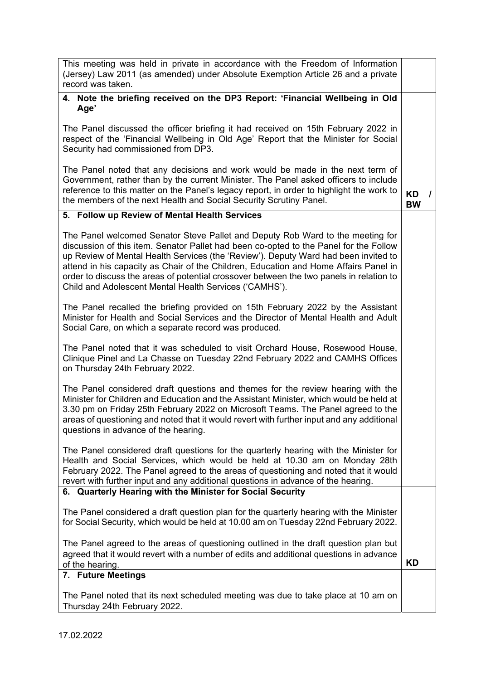| This meeting was held in private in accordance with the Freedom of Information<br>(Jersey) Law 2011 (as amended) under Absolute Exemption Article 26 and a private<br>record was taken.                                                                                                                                                                                                                                                                                                                     |                                    |
|-------------------------------------------------------------------------------------------------------------------------------------------------------------------------------------------------------------------------------------------------------------------------------------------------------------------------------------------------------------------------------------------------------------------------------------------------------------------------------------------------------------|------------------------------------|
| 4. Note the briefing received on the DP3 Report: 'Financial Wellbeing in Old                                                                                                                                                                                                                                                                                                                                                                                                                                |                                    |
| Age'                                                                                                                                                                                                                                                                                                                                                                                                                                                                                                        |                                    |
| The Panel discussed the officer briefing it had received on 15th February 2022 in<br>respect of the 'Financial Wellbeing in Old Age' Report that the Minister for Social<br>Security had commissioned from DP3.                                                                                                                                                                                                                                                                                             |                                    |
| The Panel noted that any decisions and work would be made in the next term of<br>Government, rather than by the current Minister. The Panel asked officers to include<br>reference to this matter on the Panel's legacy report, in order to highlight the work to<br>the members of the next Health and Social Security Scrutiny Panel.                                                                                                                                                                     | <b>KD</b><br>$\prime$<br><b>BW</b> |
| 5. Follow up Review of Mental Health Services                                                                                                                                                                                                                                                                                                                                                                                                                                                               |                                    |
| The Panel welcomed Senator Steve Pallet and Deputy Rob Ward to the meeting for<br>discussion of this item. Senator Pallet had been co-opted to the Panel for the Follow<br>up Review of Mental Health Services (the 'Review'). Deputy Ward had been invited to<br>attend in his capacity as Chair of the Children, Education and Home Affairs Panel in<br>order to discuss the areas of potential crossover between the two panels in relation to<br>Child and Adolescent Mental Health Services ('CAMHS'). |                                    |
| The Panel recalled the briefing provided on 15th February 2022 by the Assistant<br>Minister for Health and Social Services and the Director of Mental Health and Adult<br>Social Care, on which a separate record was produced.                                                                                                                                                                                                                                                                             |                                    |
| The Panel noted that it was scheduled to visit Orchard House, Rosewood House,<br>Clinique Pinel and La Chasse on Tuesday 22nd February 2022 and CAMHS Offices<br>on Thursday 24th February 2022.                                                                                                                                                                                                                                                                                                            |                                    |
| The Panel considered draft questions and themes for the review hearing with the<br>Minister for Children and Education and the Assistant Minister, which would be held at<br>3.30 pm on Friday 25th February 2022 on Microsoft Teams. The Panel agreed to the<br>areas of questioning and noted that it would revert with further input and any additional<br>questions in advance of the hearing.                                                                                                          |                                    |
| The Panel considered draft questions for the quarterly hearing with the Minister for<br>Health and Social Services, which would be held at 10.30 am on Monday 28th<br>February 2022. The Panel agreed to the areas of questioning and noted that it would<br>revert with further input and any additional questions in advance of the hearing.                                                                                                                                                              |                                    |
| 6. Quarterly Hearing with the Minister for Social Security                                                                                                                                                                                                                                                                                                                                                                                                                                                  |                                    |
| The Panel considered a draft question plan for the quarterly hearing with the Minister<br>for Social Security, which would be held at 10.00 am on Tuesday 22nd February 2022.                                                                                                                                                                                                                                                                                                                               |                                    |
| The Panel agreed to the areas of questioning outlined in the draft question plan but<br>agreed that it would revert with a number of edits and additional questions in advance                                                                                                                                                                                                                                                                                                                              |                                    |
| of the hearing.<br>7. Future Meetings                                                                                                                                                                                                                                                                                                                                                                                                                                                                       | <b>KD</b>                          |
|                                                                                                                                                                                                                                                                                                                                                                                                                                                                                                             |                                    |
| The Panel noted that its next scheduled meeting was due to take place at 10 am on<br>Thursday 24th February 2022.                                                                                                                                                                                                                                                                                                                                                                                           |                                    |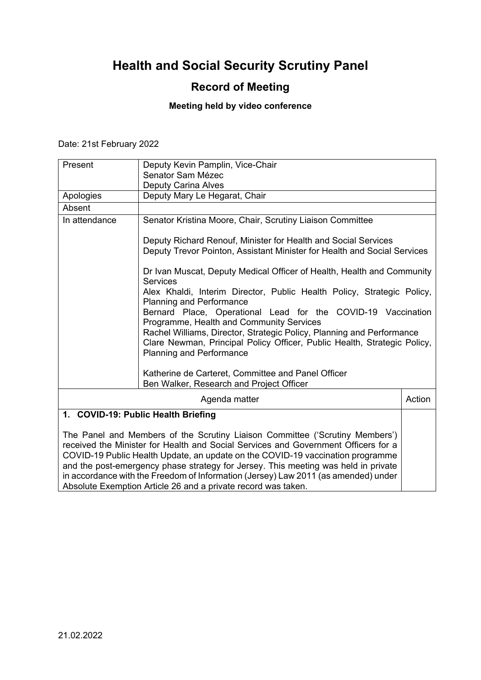## **Record of Meeting**

#### **Meeting held by video conference**

Date: 21st February 2022

| Present       | Deputy Kevin Pamplin, Vice-Chair<br>Senator Sam Mézec                                                                                                                                                                                                                                                                                                                                                                            |        |
|---------------|----------------------------------------------------------------------------------------------------------------------------------------------------------------------------------------------------------------------------------------------------------------------------------------------------------------------------------------------------------------------------------------------------------------------------------|--------|
|               | Deputy Carina Alves                                                                                                                                                                                                                                                                                                                                                                                                              |        |
| Apologies     | Deputy Mary Le Hegarat, Chair                                                                                                                                                                                                                                                                                                                                                                                                    |        |
| Absent        |                                                                                                                                                                                                                                                                                                                                                                                                                                  |        |
| In attendance | Senator Kristina Moore, Chair, Scrutiny Liaison Committee                                                                                                                                                                                                                                                                                                                                                                        |        |
|               | Deputy Richard Renouf, Minister for Health and Social Services<br>Deputy Trevor Pointon, Assistant Minister for Health and Social Services                                                                                                                                                                                                                                                                                       |        |
|               | Dr Ivan Muscat, Deputy Medical Officer of Health, Health and Community<br><b>Services</b>                                                                                                                                                                                                                                                                                                                                        |        |
|               | Alex Khaldi, Interim Director, Public Health Policy, Strategic Policy,<br><b>Planning and Performance</b><br>Bernard Place, Operational Lead for the COVID-19 Vaccination<br>Programme, Health and Community Services                                                                                                                                                                                                            |        |
|               | Rachel Williams, Director, Strategic Policy, Planning and Performance<br>Clare Newman, Principal Policy Officer, Public Health, Strategic Policy,<br><b>Planning and Performance</b>                                                                                                                                                                                                                                             |        |
|               | Katherine de Carteret, Committee and Panel Officer<br>Ben Walker, Research and Project Officer                                                                                                                                                                                                                                                                                                                                   |        |
|               | Agenda matter                                                                                                                                                                                                                                                                                                                                                                                                                    | Action |
|               | 1. COVID-19: Public Health Briefing                                                                                                                                                                                                                                                                                                                                                                                              |        |
|               | The Panel and Members of the Scrutiny Liaison Committee ('Scrutiny Members')<br>received the Minister for Health and Social Services and Government Officers for a<br>COVID-19 Public Health Update, an update on the COVID-19 vaccination programme<br>and the post-emergency phase strategy for Jersey. This meeting was held in private<br>in accordance with the Freedom of Information (Jersey) Law 2011 (as amended) under |        |
|               | Absolute Exemption Article 26 and a private record was taken.                                                                                                                                                                                                                                                                                                                                                                    |        |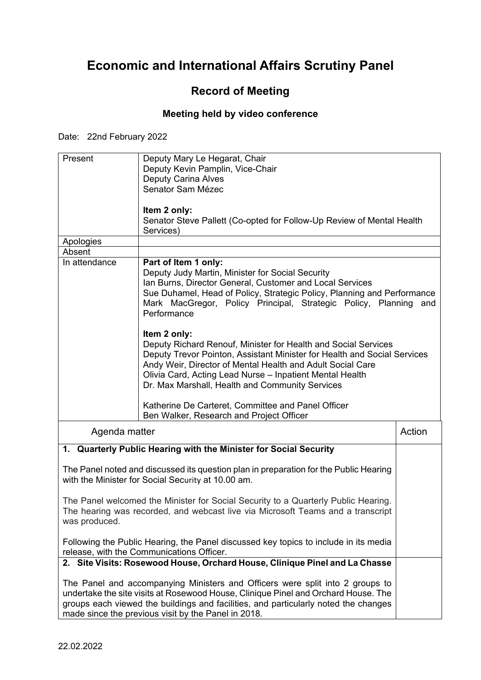# **Economic and International Affairs Scrutiny Panel**

## **Record of Meeting**

### **Meeting held by video conference**

Date: 22nd February 2022

| Present       | Deputy Mary Le Hegarat, Chair<br>Deputy Kevin Pamplin, Vice-Chair<br><b>Deputy Carina Alves</b>                                                                                                                                                                                                                                                                                               |        |
|---------------|-----------------------------------------------------------------------------------------------------------------------------------------------------------------------------------------------------------------------------------------------------------------------------------------------------------------------------------------------------------------------------------------------|--------|
|               | Senator Sam Mézec                                                                                                                                                                                                                                                                                                                                                                             |        |
|               | Item 2 only:<br>Senator Steve Pallett (Co-opted for Follow-Up Review of Mental Health<br>Services)                                                                                                                                                                                                                                                                                            |        |
| Apologies     |                                                                                                                                                                                                                                                                                                                                                                                               |        |
| Absent        |                                                                                                                                                                                                                                                                                                                                                                                               |        |
| In attendance | Part of Item 1 only:<br>Deputy Judy Martin, Minister for Social Security<br>Ian Burns, Director General, Customer and Local Services<br>Sue Duhamel, Head of Policy, Strategic Policy, Planning and Performance<br>Mark MacGregor, Policy Principal, Strategic Policy, Planning and<br>Performance                                                                                            |        |
|               | Item 2 only:<br>Deputy Richard Renouf, Minister for Health and Social Services<br>Deputy Trevor Pointon, Assistant Minister for Health and Social Services<br>Andy Weir, Director of Mental Health and Adult Social Care<br>Olivia Card, Acting Lead Nurse - Inpatient Mental Health<br>Dr. Max Marshall, Health and Community Services<br>Katherine De Carteret, Committee and Panel Officer |        |
|               | Ben Walker, Research and Project Officer                                                                                                                                                                                                                                                                                                                                                      |        |
| Agenda matter |                                                                                                                                                                                                                                                                                                                                                                                               | Action |
|               | 1. Quarterly Public Hearing with the Minister for Social Security                                                                                                                                                                                                                                                                                                                             |        |
|               | The Panel noted and discussed its question plan in preparation for the Public Hearing<br>with the Minister for Social Security at 10.00 am.                                                                                                                                                                                                                                                   |        |
| was produced. | The Panel welcomed the Minister for Social Security to a Quarterly Public Hearing.<br>The hearing was recorded, and webcast live via Microsoft Teams and a transcript                                                                                                                                                                                                                         |        |
|               | Following the Public Hearing, the Panel discussed key topics to include in its media<br>release, with the Communications Officer.                                                                                                                                                                                                                                                             |        |
|               | 2. Site Visits: Rosewood House, Orchard House, Clinique Pinel and La Chasse                                                                                                                                                                                                                                                                                                                   |        |
|               | The Panel and accompanying Ministers and Officers were split into 2 groups to<br>undertake the site visits at Rosewood House, Clinique Pinel and Orchard House. The<br>groups each viewed the buildings and facilities, and particularly noted the changes<br>made since the previous visit by the Panel in 2018.                                                                             |        |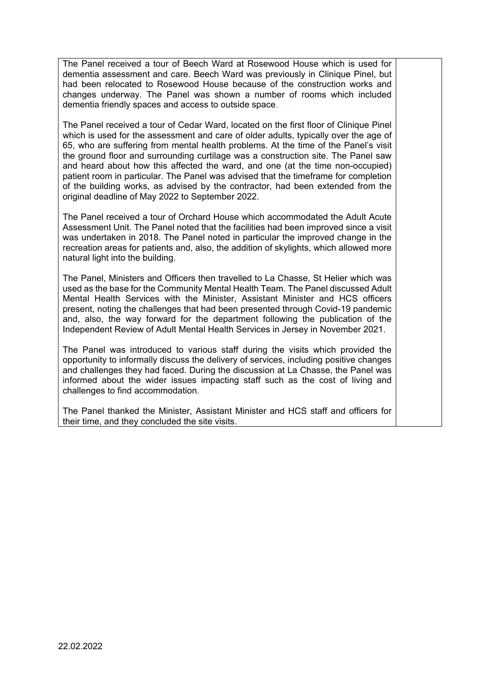The Panel received a tour of Beech Ward at Rosewood House which is used for dementia assessment and care. Beech Ward was previously in Clinique Pinel, but had been relocated to Rosewood House because of the construction works and changes underway. The Panel was shown a number of rooms which included dementia friendly spaces and access to outside space.

The Panel received a tour of Cedar Ward, located on the first floor of Clinique Pinel which is used for the assessment and care of older adults, typically over the age of 65, who are suffering from mental health problems. At the time of the Panel's visit the ground floor and surrounding curtilage was a construction site. The Panel saw and heard about how this affected the ward, and one (at the time non-occupied) patient room in particular. The Panel was advised that the timeframe for completion of the building works, as advised by the contractor, had been extended from the original deadline of May 2022 to September 2022.

The Panel received a tour of Orchard House which accommodated the Adult Acute Assessment Unit. The Panel noted that the facilities had been improved since a visit was undertaken in 2018. The Panel noted in particular the improved change in the recreation areas for patients and, also, the addition of skylights, which allowed more natural light into the building.

The Panel, Ministers and Officers then travelled to La Chasse, St Helier which was used as the base for the Community Mental Health Team. The Panel discussed Adult Mental Health Services with the Minister, Assistant Minister and HCS officers present, noting the challenges that had been presented through Covid-19 pandemic and, also, the way forward for the department following the publication of the Independent Review of Adult Mental Health Services in Jersey in November 2021.

The Panel was introduced to various staff during the visits which provided the opportunity to informally discuss the delivery of services, including positive changes and challenges they had faced. During the discussion at La Chasse, the Panel was informed about the wider issues impacting staff such as the cost of living and challenges to find accommodation.

The Panel thanked the Minister, Assistant Minister and HCS staff and officers for their time, and they concluded the site visits.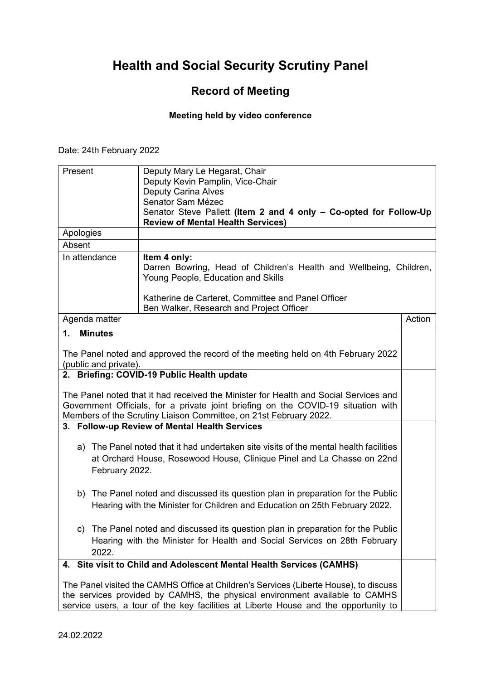## **Record of Meeting**

#### **Meeting held by video conference**

Date: 24th February 2022

| Present               | Deputy Mary Le Hegarat, Chair                                                                                                                                                                                                                               |        |
|-----------------------|-------------------------------------------------------------------------------------------------------------------------------------------------------------------------------------------------------------------------------------------------------------|--------|
|                       | Deputy Kevin Pamplin, Vice-Chair                                                                                                                                                                                                                            |        |
|                       | <b>Deputy Carina Alves</b>                                                                                                                                                                                                                                  |        |
|                       | Senator Sam Mézec<br>Senator Steve Pallett (Item 2 and 4 only - Co-opted for Follow-Up                                                                                                                                                                      |        |
|                       | <b>Review of Mental Health Services)</b>                                                                                                                                                                                                                    |        |
| Apologies             |                                                                                                                                                                                                                                                             |        |
| Absent                |                                                                                                                                                                                                                                                             |        |
| In attendance         | Item 4 only:<br>Darren Bowring, Head of Children's Health and Wellbeing, Children,<br>Young People, Education and Skills                                                                                                                                    |        |
|                       | Katherine de Carteret, Committee and Panel Officer<br>Ben Walker, Research and Project Officer                                                                                                                                                              |        |
| Agenda matter         |                                                                                                                                                                                                                                                             | Action |
| 1.<br><b>Minutes</b>  |                                                                                                                                                                                                                                                             |        |
| (public and private). | The Panel noted and approved the record of the meeting held on 4th February 2022                                                                                                                                                                            |        |
|                       | 2. Briefing: COVID-19 Public Health update                                                                                                                                                                                                                  |        |
|                       | The Panel noted that it had received the Minister for Health and Social Services and<br>Government Officials, for a private joint briefing on the COVID-19 situation with<br>Members of the Scrutiny Liaison Committee, on 21st February 2022.              |        |
|                       | 3. Follow-up Review of Mental Health Services                                                                                                                                                                                                               |        |
| February 2022.        | a) The Panel noted that it had undertaken site visits of the mental health facilities<br>at Orchard House, Rosewood House, Clinique Pinel and La Chasse on 22nd                                                                                             |        |
|                       | b) The Panel noted and discussed its question plan in preparation for the Public<br>Hearing with the Minister for Children and Education on 25th February 2022.                                                                                             |        |
| 2022.                 | c) The Panel noted and discussed its question plan in preparation for the Public<br>Hearing with the Minister for Health and Social Services on 28th February                                                                                               |        |
|                       | 4. Site visit to Child and Adolescent Mental Health Services (CAMHS)                                                                                                                                                                                        |        |
|                       | The Panel visited the CAMHS Office at Children's Services (Liberte House), to discuss<br>the services provided by CAMHS, the physical environment available to CAMHS<br>service users, a tour of the key facilities at Liberte House and the opportunity to |        |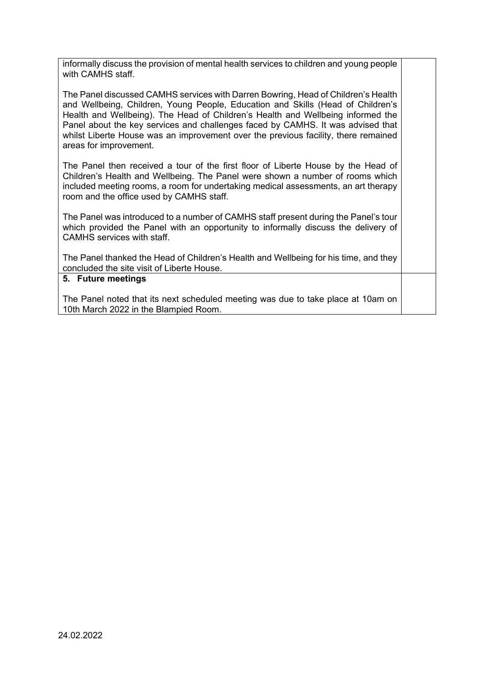informally discuss the provision of mental health services to children and young people with CAMHS staff.

The Panel discussed CAMHS services with Darren Bowring, Head of Children's Health and Wellbeing, Children, Young People, Education and Skills (Head of Children's Health and Wellbeing). The Head of Children's Health and Wellbeing informed the Panel about the key services and challenges faced by CAMHS. It was advised that whilst Liberte House was an improvement over the previous facility, there remained areas for improvement.

The Panel then received a tour of the first floor of Liberte House by the Head of Children's Health and Wellbeing. The Panel were shown a number of rooms which included meeting rooms, a room for undertaking medical assessments, an art therapy room and the office used by CAMHS staff.

The Panel was introduced to a number of CAMHS staff present during the Panel's tour which provided the Panel with an opportunity to informally discuss the delivery of CAMHS services with staff.

The Panel thanked the Head of Children's Health and Wellbeing for his time, and they concluded the site visit of Liberte House.

#### **5. Future meetings**

The Panel noted that its next scheduled meeting was due to take place at 10am on 10th March 2022 in the Blampied Room.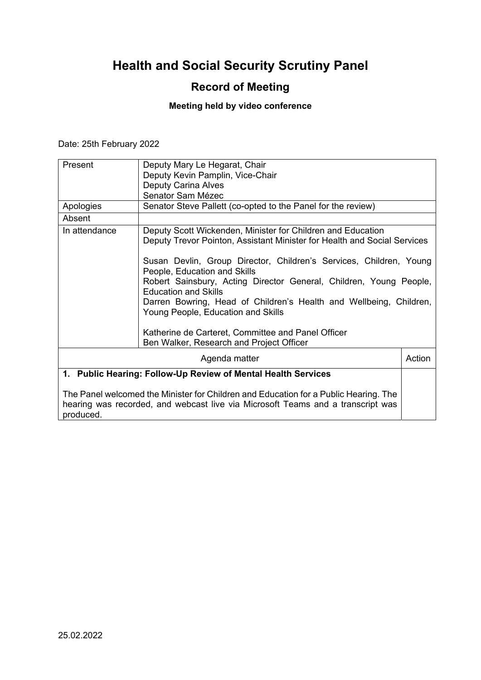## **Record of Meeting**

## **Meeting held by video conference**

Date: 25th February 2022

| Present                                                                                                                                                                              | Deputy Mary Le Hegarat, Chair<br>Deputy Kevin Pamplin, Vice-Chair<br><b>Deputy Carina Alves</b><br>Senator Sam Mézec                                                                                                                                                |        |
|--------------------------------------------------------------------------------------------------------------------------------------------------------------------------------------|---------------------------------------------------------------------------------------------------------------------------------------------------------------------------------------------------------------------------------------------------------------------|--------|
| Apologies                                                                                                                                                                            | Senator Steve Pallett (co-opted to the Panel for the review)                                                                                                                                                                                                        |        |
| Absent                                                                                                                                                                               |                                                                                                                                                                                                                                                                     |        |
| In attendance                                                                                                                                                                        | Deputy Scott Wickenden, Minister for Children and Education<br>Deputy Trevor Pointon, Assistant Minister for Health and Social Services<br>Susan Devlin, Group Director, Children's Services, Children, Young<br>People, Education and Skills                       |        |
|                                                                                                                                                                                      | Robert Sainsbury, Acting Director General, Children, Young People,<br><b>Education and Skills</b><br>Darren Bowring, Head of Children's Health and Wellbeing, Children,<br>Young People, Education and Skills<br>Katherine de Carteret, Committee and Panel Officer |        |
|                                                                                                                                                                                      | Ben Walker, Research and Project Officer                                                                                                                                                                                                                            |        |
|                                                                                                                                                                                      | Agenda matter                                                                                                                                                                                                                                                       | Action |
| 1. Public Hearing: Follow-Up Review of Mental Health Services                                                                                                                        |                                                                                                                                                                                                                                                                     |        |
| The Panel welcomed the Minister for Children and Education for a Public Hearing. The<br>hearing was recorded, and webcast live via Microsoft Teams and a transcript was<br>produced. |                                                                                                                                                                                                                                                                     |        |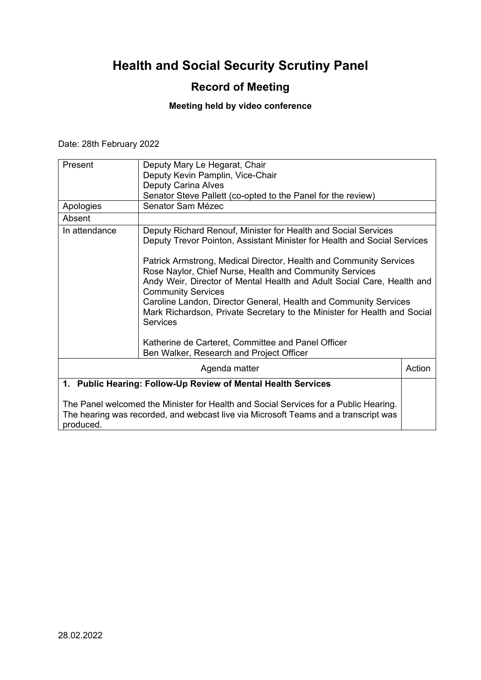## **Record of Meeting**

## **Meeting held by video conference**

Date: 28th February 2022

| Present                                                                                                                                                                                  | Deputy Mary Le Hegarat, Chair<br>Deputy Kevin Pamplin, Vice-Chair<br><b>Deputy Carina Alves</b>                                                                                                                                                                                                                            |        |
|------------------------------------------------------------------------------------------------------------------------------------------------------------------------------------------|----------------------------------------------------------------------------------------------------------------------------------------------------------------------------------------------------------------------------------------------------------------------------------------------------------------------------|--------|
| Apologies                                                                                                                                                                                | Senator Steve Pallett (co-opted to the Panel for the review)<br>Senator Sam Mézec                                                                                                                                                                                                                                          |        |
| Absent                                                                                                                                                                                   |                                                                                                                                                                                                                                                                                                                            |        |
| In attendance                                                                                                                                                                            | Deputy Richard Renouf, Minister for Health and Social Services<br>Deputy Trevor Pointon, Assistant Minister for Health and Social Services<br>Patrick Armstrong, Medical Director, Health and Community Services                                                                                                           |        |
|                                                                                                                                                                                          | Rose Naylor, Chief Nurse, Health and Community Services<br>Andy Weir, Director of Mental Health and Adult Social Care, Health and<br><b>Community Services</b><br>Caroline Landon, Director General, Health and Community Services<br>Mark Richardson, Private Secretary to the Minister for Health and Social<br>Services |        |
|                                                                                                                                                                                          | Katherine de Carteret, Committee and Panel Officer<br>Ben Walker, Research and Project Officer                                                                                                                                                                                                                             |        |
|                                                                                                                                                                                          | Agenda matter                                                                                                                                                                                                                                                                                                              | Action |
| 1. Public Hearing: Follow-Up Review of Mental Health Services                                                                                                                            |                                                                                                                                                                                                                                                                                                                            |        |
| The Panel welcomed the Minister for Health and Social Services for a Public Hearing.<br>The hearing was recorded, and webcast live via Microsoft Teams and a transcript was<br>produced. |                                                                                                                                                                                                                                                                                                                            |        |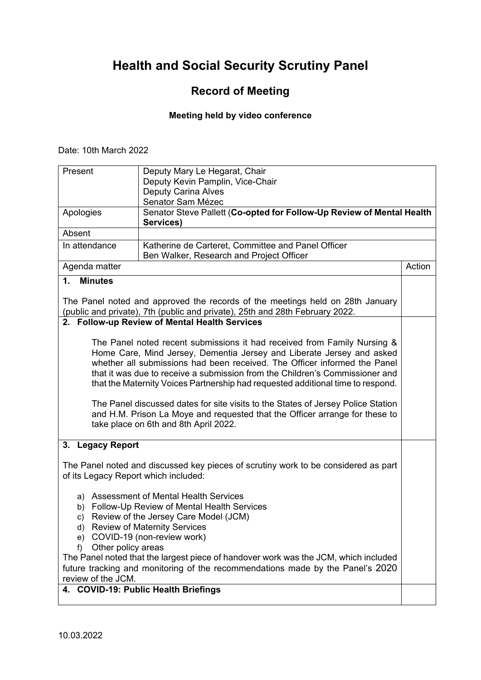## **Record of Meeting**

#### **Meeting held by video conference**

Date: 10th March 2022

| Present                                                                                                                                                                                                                                                                                                                                                                                                                                                                               | Deputy Mary Le Hegarat, Chair<br>Deputy Kevin Pamplin, Vice-Chair<br><b>Deputy Carina Alves</b>                                                                                                        |        |
|---------------------------------------------------------------------------------------------------------------------------------------------------------------------------------------------------------------------------------------------------------------------------------------------------------------------------------------------------------------------------------------------------------------------------------------------------------------------------------------|--------------------------------------------------------------------------------------------------------------------------------------------------------------------------------------------------------|--------|
|                                                                                                                                                                                                                                                                                                                                                                                                                                                                                       | Senator Sam Mézec                                                                                                                                                                                      |        |
| Apologies                                                                                                                                                                                                                                                                                                                                                                                                                                                                             | Senator Steve Pallett (Co-opted for Follow-Up Review of Mental Health                                                                                                                                  |        |
|                                                                                                                                                                                                                                                                                                                                                                                                                                                                                       | Services)                                                                                                                                                                                              |        |
| Absent                                                                                                                                                                                                                                                                                                                                                                                                                                                                                |                                                                                                                                                                                                        |        |
| In attendance                                                                                                                                                                                                                                                                                                                                                                                                                                                                         | Katherine de Carteret, Committee and Panel Officer<br>Ben Walker, Research and Project Officer                                                                                                         |        |
| Agenda matter                                                                                                                                                                                                                                                                                                                                                                                                                                                                         |                                                                                                                                                                                                        | Action |
| $\mathbf{1}$ .<br><b>Minutes</b>                                                                                                                                                                                                                                                                                                                                                                                                                                                      |                                                                                                                                                                                                        |        |
|                                                                                                                                                                                                                                                                                                                                                                                                                                                                                       |                                                                                                                                                                                                        |        |
|                                                                                                                                                                                                                                                                                                                                                                                                                                                                                       | The Panel noted and approved the records of the meetings held on 28th January<br>(public and private), 7th (public and private), 25th and 28th February 2022.                                          |        |
|                                                                                                                                                                                                                                                                                                                                                                                                                                                                                       | 2. Follow-up Review of Mental Health Services                                                                                                                                                          |        |
| The Panel noted recent submissions it had received from Family Nursing &<br>Home Care, Mind Jersey, Dementia Jersey and Liberate Jersey and asked<br>whether all submissions had been received. The Officer informed the Panel<br>that it was due to receive a submission from the Children's Commissioner and<br>that the Maternity Voices Partnership had requested additional time to respond.<br>The Panel discussed dates for site visits to the States of Jersey Police Station |                                                                                                                                                                                                        |        |
|                                                                                                                                                                                                                                                                                                                                                                                                                                                                                       | and H.M. Prison La Moye and requested that the Officer arrange for these to<br>take place on 6th and 8th April 2022.                                                                                   |        |
| 3. Legacy Report                                                                                                                                                                                                                                                                                                                                                                                                                                                                      |                                                                                                                                                                                                        |        |
| of its Legacy Report which included:                                                                                                                                                                                                                                                                                                                                                                                                                                                  | The Panel noted and discussed key pieces of scrutiny work to be considered as part                                                                                                                     |        |
| c)<br>d)<br>e)<br>Other policy areas<br>f)                                                                                                                                                                                                                                                                                                                                                                                                                                            | a) Assessment of Mental Health Services<br>b) Follow-Up Review of Mental Health Services<br>Review of the Jersey Care Model (JCM)<br><b>Review of Maternity Services</b><br>COVID-19 (non-review work) |        |
| The Panel noted that the largest piece of handover work was the JCM, which included<br>future tracking and monitoring of the recommendations made by the Panel's 2020<br>review of the JCM.                                                                                                                                                                                                                                                                                           |                                                                                                                                                                                                        |        |
|                                                                                                                                                                                                                                                                                                                                                                                                                                                                                       | 4. COVID-19: Public Health Briefings                                                                                                                                                                   |        |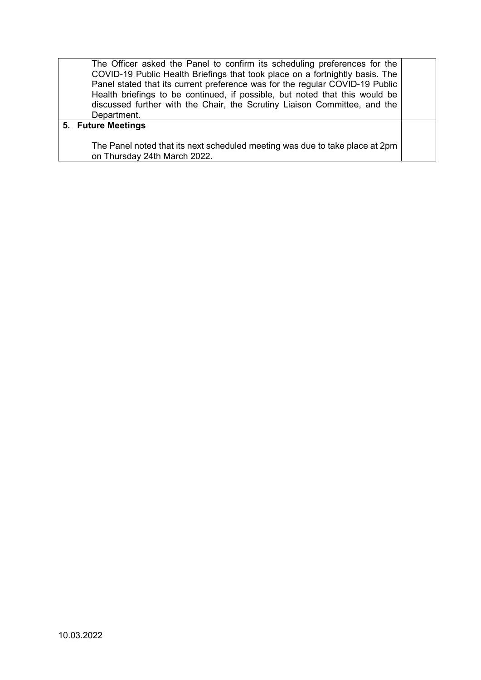The Officer asked the Panel to confirm its scheduling preferences for the COVID-19 Public Health Briefings that took place on a fortnightly basis. The Panel stated that its current preference was for the regular COVID-19 Public Health briefings to be continued, if possible, but noted that this would be discussed further with the Chair, the Scrutiny Liaison Committee, and the Department.

#### **5. Future Meetings**

The Panel noted that its next scheduled meeting was due to take place at 2pm on Thursday 24th March 2022.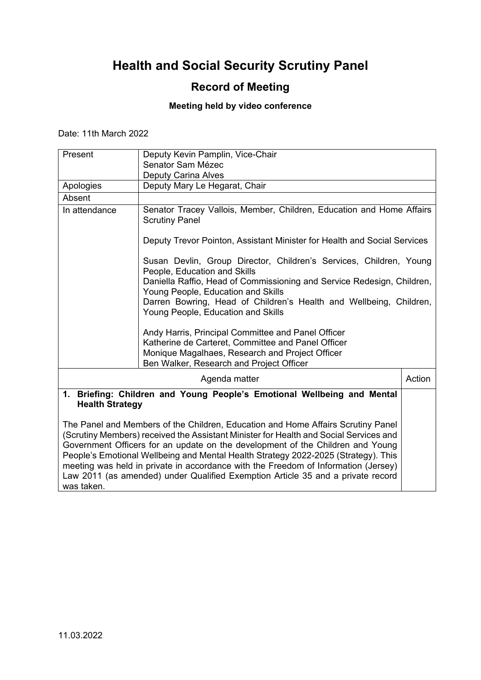## **Record of Meeting**

### **Meeting held by video conference**

Date: 11th March 2022

| Present                                                                                                                                                                                                                                                                                                                                                                                                                                                                                                                                                                                                                                       | Deputy Kevin Pamplin, Vice-Chair                                                                                                                                                                                   |        |
|-----------------------------------------------------------------------------------------------------------------------------------------------------------------------------------------------------------------------------------------------------------------------------------------------------------------------------------------------------------------------------------------------------------------------------------------------------------------------------------------------------------------------------------------------------------------------------------------------------------------------------------------------|--------------------------------------------------------------------------------------------------------------------------------------------------------------------------------------------------------------------|--------|
|                                                                                                                                                                                                                                                                                                                                                                                                                                                                                                                                                                                                                                               | Senator Sam Mézec                                                                                                                                                                                                  |        |
|                                                                                                                                                                                                                                                                                                                                                                                                                                                                                                                                                                                                                                               | <b>Deputy Carina Alves</b>                                                                                                                                                                                         |        |
| Apologies                                                                                                                                                                                                                                                                                                                                                                                                                                                                                                                                                                                                                                     | Deputy Mary Le Hegarat, Chair                                                                                                                                                                                      |        |
| Absent                                                                                                                                                                                                                                                                                                                                                                                                                                                                                                                                                                                                                                        |                                                                                                                                                                                                                    |        |
| In attendance                                                                                                                                                                                                                                                                                                                                                                                                                                                                                                                                                                                                                                 | Senator Tracey Vallois, Member, Children, Education and Home Affairs<br><b>Scrutiny Panel</b>                                                                                                                      |        |
|                                                                                                                                                                                                                                                                                                                                                                                                                                                                                                                                                                                                                                               | Deputy Trevor Pointon, Assistant Minister for Health and Social Services                                                                                                                                           |        |
|                                                                                                                                                                                                                                                                                                                                                                                                                                                                                                                                                                                                                                               | Susan Devlin, Group Director, Children's Services, Children, Young<br>People, Education and Skills<br>Daniella Raffio, Head of Commissioning and Service Redesign, Children,<br>Young People, Education and Skills |        |
|                                                                                                                                                                                                                                                                                                                                                                                                                                                                                                                                                                                                                                               | Darren Bowring, Head of Children's Health and Wellbeing, Children,<br>Young People, Education and Skills                                                                                                           |        |
|                                                                                                                                                                                                                                                                                                                                                                                                                                                                                                                                                                                                                                               | Andy Harris, Principal Committee and Panel Officer<br>Katherine de Carteret, Committee and Panel Officer<br>Monique Magalhaes, Research and Project Officer<br>Ben Walker, Research and Project Officer            |        |
|                                                                                                                                                                                                                                                                                                                                                                                                                                                                                                                                                                                                                                               | Agenda matter                                                                                                                                                                                                      | Action |
| 1. Briefing: Children and Young People's Emotional Wellbeing and Mental<br><b>Health Strategy</b><br>The Panel and Members of the Children, Education and Home Affairs Scrutiny Panel<br>(Scrutiny Members) received the Assistant Minister for Health and Social Services and<br>Government Officers for an update on the development of the Children and Young<br>People's Emotional Wellbeing and Mental Health Strategy 2022-2025 (Strategy). This<br>meeting was held in private in accordance with the Freedom of Information (Jersey)<br>Law 2011 (as amended) under Qualified Exemption Article 35 and a private record<br>was taken. |                                                                                                                                                                                                                    |        |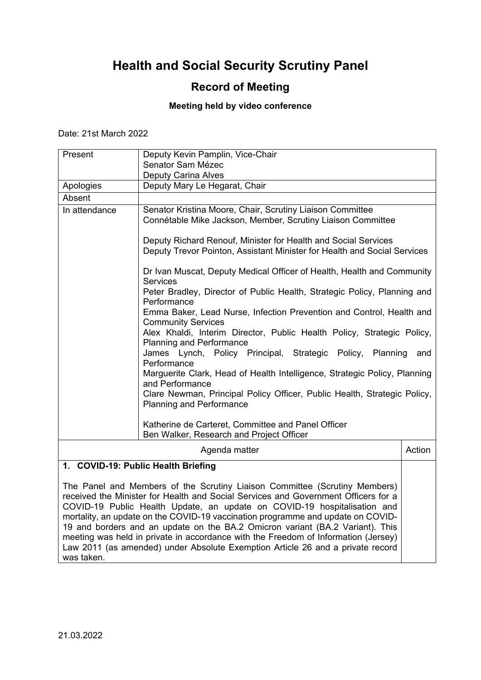### **Record of Meeting**

#### **Meeting held by video conference**

Date: 21st March 2022

| Present       | Deputy Kevin Pamplin, Vice-Chair                                                                                                           |        |
|---------------|--------------------------------------------------------------------------------------------------------------------------------------------|--------|
|               | Senator Sam Mézec                                                                                                                          |        |
|               | <b>Deputy Carina Alves</b>                                                                                                                 |        |
| Apologies     | Deputy Mary Le Hegarat, Chair                                                                                                              |        |
| Absent        |                                                                                                                                            |        |
| In attendance | Senator Kristina Moore, Chair, Scrutiny Liaison Committee<br>Connétable Mike Jackson, Member, Scrutiny Liaison Committee                   |        |
|               | Deputy Richard Renouf, Minister for Health and Social Services<br>Deputy Trevor Pointon, Assistant Minister for Health and Social Services |        |
|               | Dr Ivan Muscat, Deputy Medical Officer of Health, Health and Community<br><b>Services</b>                                                  |        |
|               | Peter Bradley, Director of Public Health, Strategic Policy, Planning and<br>Performance                                                    |        |
|               | Emma Baker, Lead Nurse, Infection Prevention and Control, Health and<br><b>Community Services</b>                                          |        |
|               | Alex Khaldi, Interim Director, Public Health Policy, Strategic Policy,<br><b>Planning and Performance</b>                                  |        |
|               | James Lynch, Policy Principal, Strategic Policy, Planning<br>Performance                                                                   | and    |
|               | Marguerite Clark, Head of Health Intelligence, Strategic Policy, Planning<br>and Performance                                               |        |
|               | Clare Newman, Principal Policy Officer, Public Health, Strategic Policy,<br><b>Planning and Performance</b>                                |        |
|               | Katherine de Carteret, Committee and Panel Officer<br>Ben Walker, Research and Project Officer                                             |        |
|               | Agenda matter                                                                                                                              | Action |
|               | 1. COVID-19: Public Health Briefing                                                                                                        |        |
|               | The Panel and Members of the Scrutiny Liaison Committee (Scrutiny Members)                                                                 |        |

received the Minister for Health and Social Services and Government Officers for a COVID-19 Public Health Update, an update on COVID-19 hospitalisation and mortality, an update on the COVID-19 vaccination programme and update on COVID-19 and borders and an update on the BA.2 Omicron variant (BA.2 Variant). This meeting was held in private in accordance with the Freedom of Information (Jersey) Law 2011 (as amended) under Absolute Exemption Article 26 and a private record was taken.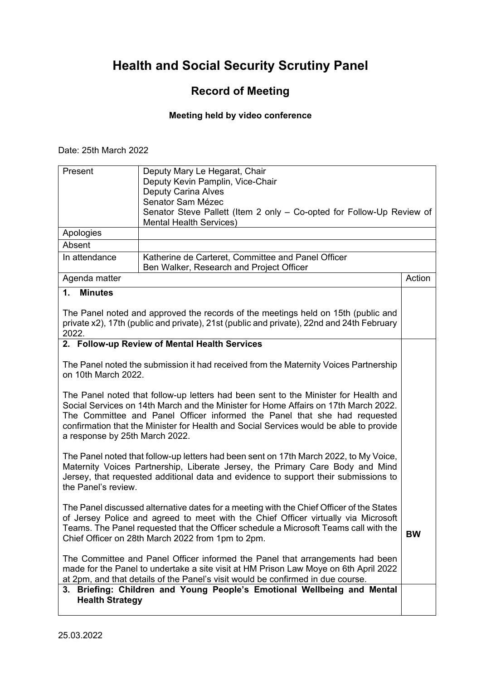## **Record of Meeting**

## **Meeting held by video conference**

Date: 25th March 2022

| Present                                                                                                                                                                                                                                                                                                                                                                             | Deputy Mary Le Hegarat, Chair<br>Deputy Kevin Pamplin, Vice-Chair<br><b>Deputy Carina Alves</b><br>Senator Sam Mézec                                                                                                                                     |           |
|-------------------------------------------------------------------------------------------------------------------------------------------------------------------------------------------------------------------------------------------------------------------------------------------------------------------------------------------------------------------------------------|----------------------------------------------------------------------------------------------------------------------------------------------------------------------------------------------------------------------------------------------------------|-----------|
|                                                                                                                                                                                                                                                                                                                                                                                     | Senator Steve Pallett (Item 2 only - Co-opted for Follow-Up Review of<br><b>Mental Health Services)</b>                                                                                                                                                  |           |
| Apologies                                                                                                                                                                                                                                                                                                                                                                           |                                                                                                                                                                                                                                                          |           |
| Absent                                                                                                                                                                                                                                                                                                                                                                              |                                                                                                                                                                                                                                                          |           |
| In attendance                                                                                                                                                                                                                                                                                                                                                                       | Katherine de Carteret, Committee and Panel Officer<br>Ben Walker, Research and Project Officer                                                                                                                                                           |           |
| Agenda matter                                                                                                                                                                                                                                                                                                                                                                       |                                                                                                                                                                                                                                                          | Action    |
| 1.<br><b>Minutes</b>                                                                                                                                                                                                                                                                                                                                                                |                                                                                                                                                                                                                                                          |           |
| 2022.                                                                                                                                                                                                                                                                                                                                                                               | The Panel noted and approved the records of the meetings held on 15th (public and<br>private x2), 17th (public and private), 21st (public and private), 22nd and 24th February                                                                           |           |
|                                                                                                                                                                                                                                                                                                                                                                                     | 2. Follow-up Review of Mental Health Services                                                                                                                                                                                                            |           |
| on 10th March 2022.                                                                                                                                                                                                                                                                                                                                                                 | The Panel noted the submission it had received from the Maternity Voices Partnership                                                                                                                                                                     |           |
| The Panel noted that follow-up letters had been sent to the Minister for Health and<br>Social Services on 14th March and the Minister for Home Affairs on 17th March 2022.<br>The Committee and Panel Officer informed the Panel that she had requested<br>confirmation that the Minister for Health and Social Services would be able to provide<br>a response by 25th March 2022. |                                                                                                                                                                                                                                                          |           |
| The Panel noted that follow-up letters had been sent on 17th March 2022, to My Voice,<br>Maternity Voices Partnership, Liberate Jersey, the Primary Care Body and Mind<br>Jersey, that requested additional data and evidence to support their submissions to<br>the Panel's review.                                                                                                |                                                                                                                                                                                                                                                          |           |
| The Panel discussed alternative dates for a meeting with the Chief Officer of the States<br>of Jersey Police and agreed to meet with the Chief Officer virtually via Microsoft<br>Teams. The Panel requested that the Officer schedule a Microsoft Teams call with the<br>Chief Officer on 28th March 2022 from 1pm to 2pm.                                                         |                                                                                                                                                                                                                                                          | <b>BW</b> |
|                                                                                                                                                                                                                                                                                                                                                                                     | The Committee and Panel Officer informed the Panel that arrangements had been<br>made for the Panel to undertake a site visit at HM Prison Law Moye on 6th April 2022<br>at 2pm, and that details of the Panel's visit would be confirmed in due course. |           |
| <b>Health Strategy</b>                                                                                                                                                                                                                                                                                                                                                              | 3. Briefing: Children and Young People's Emotional Wellbeing and Mental                                                                                                                                                                                  |           |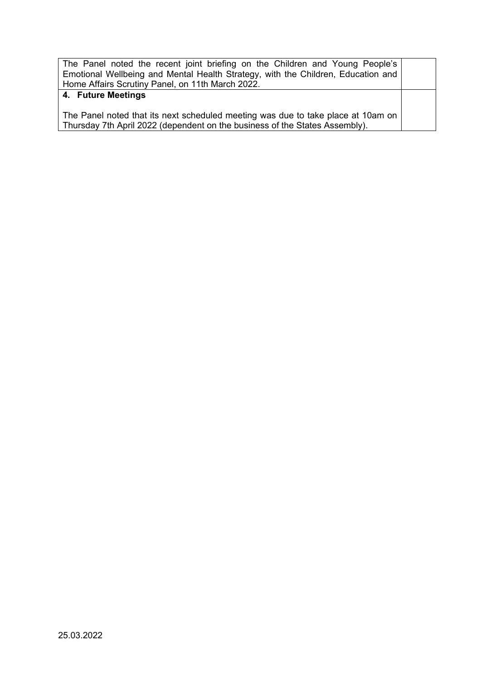The Panel noted the recent joint briefing on the Children and Young People's Emotional Wellbeing and Mental Health Strategy, with the Children, Education and Home Affairs Scrutiny Panel, on 11th March 2022. **4. Future Meetings** The Panel noted that its next scheduled meeting was due to take place at 10am on Thursday 7th April 2022 (dependent on the business of the States Assembly).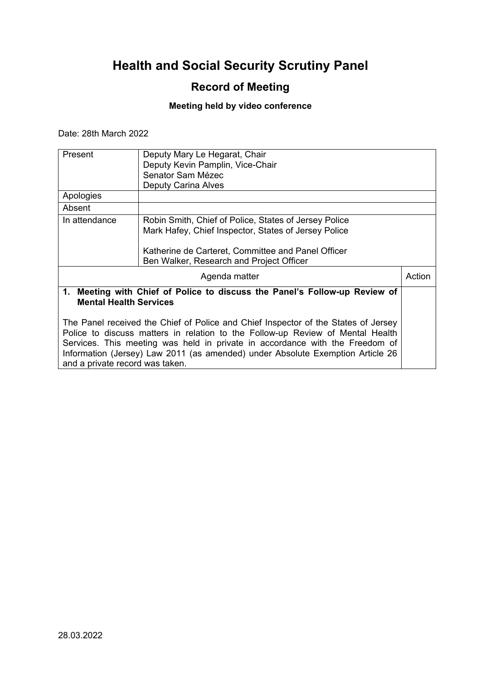## **Record of Meeting**

### **Meeting held by video conference**

Date: 28th March 2022

| Present                         | Deputy Mary Le Hegarat, Chair                                                      |        |
|---------------------------------|------------------------------------------------------------------------------------|--------|
|                                 | Deputy Kevin Pamplin, Vice-Chair                                                   |        |
|                                 | Senator Sam Mézec                                                                  |        |
|                                 | <b>Deputy Carina Alves</b>                                                         |        |
| Apologies                       |                                                                                    |        |
| Absent                          |                                                                                    |        |
| In attendance                   | Robin Smith, Chief of Police, States of Jersey Police                              |        |
|                                 | Mark Hafey, Chief Inspector, States of Jersey Police                               |        |
|                                 | Katherine de Carteret, Committee and Panel Officer                                 |        |
|                                 | Ben Walker, Research and Project Officer                                           |        |
|                                 | Agenda matter                                                                      | Action |
| <b>Mental Health Services</b>   | 1. Meeting with Chief of Police to discuss the Panel's Follow-up Review of         |        |
|                                 | The Panel received the Chief of Police and Chief Inspector of the States of Jersey |        |
|                                 | Police to discuss matters in relation to the Follow-up Review of Mental Health     |        |
|                                 | Services. This meeting was held in private in accordance with the Freedom of       |        |
|                                 | Information (Jersey) Law 2011 (as amended) under Absolute Exemption Article 26     |        |
| and a private record was taken. |                                                                                    |        |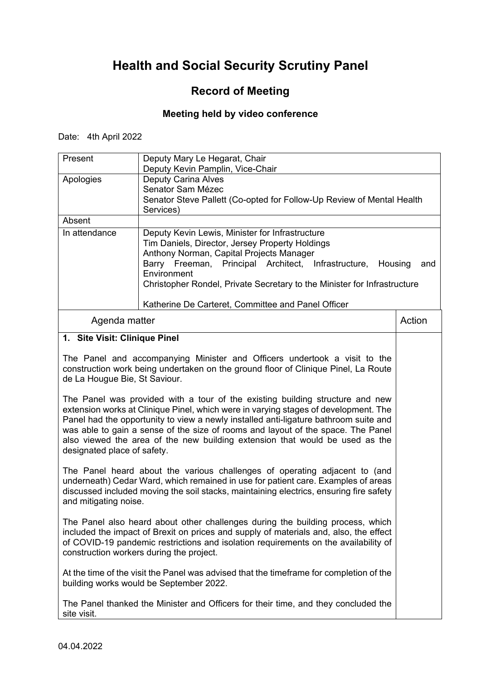## **Record of Meeting**

### **Meeting held by video conference**

Date: 4th April 2022

| Present                                                                                                                                                                                                                                                                                                                                                                                                                                                         | Deputy Mary Le Hegarat, Chair<br>Deputy Kevin Pamplin, Vice-Chair                                                                                                                                                                                                                                           |        |
|-----------------------------------------------------------------------------------------------------------------------------------------------------------------------------------------------------------------------------------------------------------------------------------------------------------------------------------------------------------------------------------------------------------------------------------------------------------------|-------------------------------------------------------------------------------------------------------------------------------------------------------------------------------------------------------------------------------------------------------------------------------------------------------------|--------|
| Apologies                                                                                                                                                                                                                                                                                                                                                                                                                                                       | <b>Deputy Carina Alves</b><br>Senator Sam Mézec<br>Senator Steve Pallett (Co-opted for Follow-Up Review of Mental Health<br>Services)                                                                                                                                                                       |        |
| Absent                                                                                                                                                                                                                                                                                                                                                                                                                                                          |                                                                                                                                                                                                                                                                                                             |        |
| In attendance                                                                                                                                                                                                                                                                                                                                                                                                                                                   | Deputy Kevin Lewis, Minister for Infrastructure<br>Tim Daniels, Director, Jersey Property Holdings<br>Anthony Norman, Capital Projects Manager<br>Barry Freeman, Principal Architect, Infrastructure,<br>Housing<br>Environment<br>Christopher Rondel, Private Secretary to the Minister for Infrastructure | and    |
|                                                                                                                                                                                                                                                                                                                                                                                                                                                                 | Katherine De Carteret, Committee and Panel Officer                                                                                                                                                                                                                                                          |        |
| Agenda matter                                                                                                                                                                                                                                                                                                                                                                                                                                                   |                                                                                                                                                                                                                                                                                                             | Action |
| 1. Site Visit: Clinique Pinel                                                                                                                                                                                                                                                                                                                                                                                                                                   |                                                                                                                                                                                                                                                                                                             |        |
| de La Hougue Bie, St Saviour.                                                                                                                                                                                                                                                                                                                                                                                                                                   | The Panel and accompanying Minister and Officers undertook a visit to the<br>construction work being undertaken on the ground floor of Clinique Pinel, La Route                                                                                                                                             |        |
| The Panel was provided with a tour of the existing building structure and new<br>extension works at Clinique Pinel, which were in varying stages of development. The<br>Panel had the opportunity to view a newly installed anti-ligature bathroom suite and<br>was able to gain a sense of the size of rooms and layout of the space. The Panel<br>also viewed the area of the new building extension that would be used as the<br>designated place of safety. |                                                                                                                                                                                                                                                                                                             |        |
| The Panel heard about the various challenges of operating adjacent to (and<br>underneath) Cedar Ward, which remained in use for patient care. Examples of areas<br>discussed included moving the soil stacks, maintaining electrics, ensuring fire safety<br>and mitigating noise.                                                                                                                                                                              |                                                                                                                                                                                                                                                                                                             |        |
| The Panel also heard about other challenges during the building process, which<br>included the impact of Brexit on prices and supply of materials and, also, the effect<br>of COVID-19 pandemic restrictions and isolation requirements on the availability of<br>construction workers during the project.                                                                                                                                                      |                                                                                                                                                                                                                                                                                                             |        |
| At the time of the visit the Panel was advised that the timeframe for completion of the<br>building works would be September 2022.                                                                                                                                                                                                                                                                                                                              |                                                                                                                                                                                                                                                                                                             |        |
| The Panel thanked the Minister and Officers for their time, and they concluded the<br>site visit.                                                                                                                                                                                                                                                                                                                                                               |                                                                                                                                                                                                                                                                                                             |        |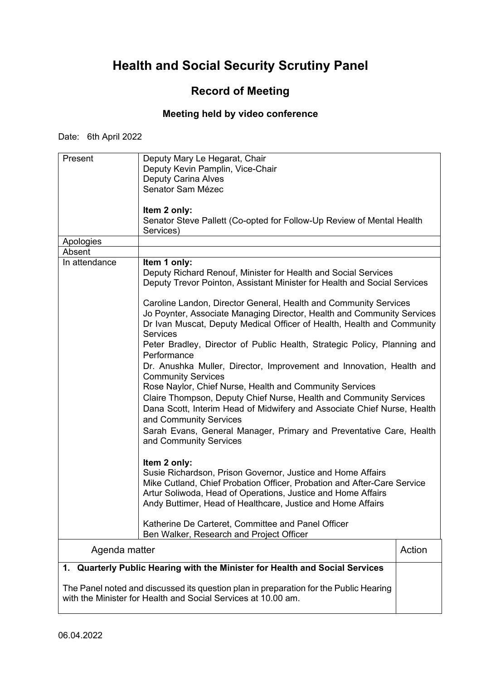### **Record of Meeting**

#### **Meeting held by video conference**

Date: 6th April 2022

| Present       | Deputy Mary Le Hegarat, Chair                                                         |        |
|---------------|---------------------------------------------------------------------------------------|--------|
|               | Deputy Kevin Pamplin, Vice-Chair                                                      |        |
|               | <b>Deputy Carina Alves</b>                                                            |        |
|               |                                                                                       |        |
|               | Senator Sam Mézec                                                                     |        |
|               |                                                                                       |        |
|               | Item 2 only:                                                                          |        |
|               | Senator Steve Pallett (Co-opted for Follow-Up Review of Mental Health                 |        |
|               | Services)                                                                             |        |
| Apologies     |                                                                                       |        |
| Absent        |                                                                                       |        |
| In attendance | Item 1 only:                                                                          |        |
|               | Deputy Richard Renouf, Minister for Health and Social Services                        |        |
|               | Deputy Trevor Pointon, Assistant Minister for Health and Social Services              |        |
|               |                                                                                       |        |
|               | Caroline Landon, Director General, Health and Community Services                      |        |
|               | Jo Poynter, Associate Managing Director, Health and Community Services                |        |
|               | Dr Ivan Muscat, Deputy Medical Officer of Health, Health and Community                |        |
|               | <b>Services</b>                                                                       |        |
|               |                                                                                       |        |
|               | Peter Bradley, Director of Public Health, Strategic Policy, Planning and              |        |
|               | Performance                                                                           |        |
|               | Dr. Anushka Muller, Director, Improvement and Innovation, Health and                  |        |
|               | <b>Community Services</b>                                                             |        |
|               | Rose Naylor, Chief Nurse, Health and Community Services                               |        |
|               | Claire Thompson, Deputy Chief Nurse, Health and Community Services                    |        |
|               | Dana Scott, Interim Head of Midwifery and Associate Chief Nurse, Health               |        |
|               | and Community Services                                                                |        |
|               | Sarah Evans, General Manager, Primary and Preventative Care, Health                   |        |
|               | and Community Services                                                                |        |
|               |                                                                                       |        |
|               |                                                                                       |        |
|               | Item 2 only:                                                                          |        |
|               | Susie Richardson, Prison Governor, Justice and Home Affairs                           |        |
|               | Mike Cutland, Chief Probation Officer, Probation and After-Care Service               |        |
|               | Artur Soliwoda, Head of Operations, Justice and Home Affairs                          |        |
|               | Andy Buttimer, Head of Healthcare, Justice and Home Affairs                           |        |
|               |                                                                                       |        |
|               | Katherine De Carteret, Committee and Panel Officer                                    |        |
|               | Ben Walker, Research and Project Officer                                              |        |
|               |                                                                                       |        |
| Agenda matter |                                                                                       | Action |
| 1.            | Quarterly Public Hearing with the Minister for Health and Social Services             |        |
|               |                                                                                       |        |
|               | The Panel noted and discussed its question plan in preparation for the Public Hearing |        |

with the Minister for Health and Social Services at 10.00 am.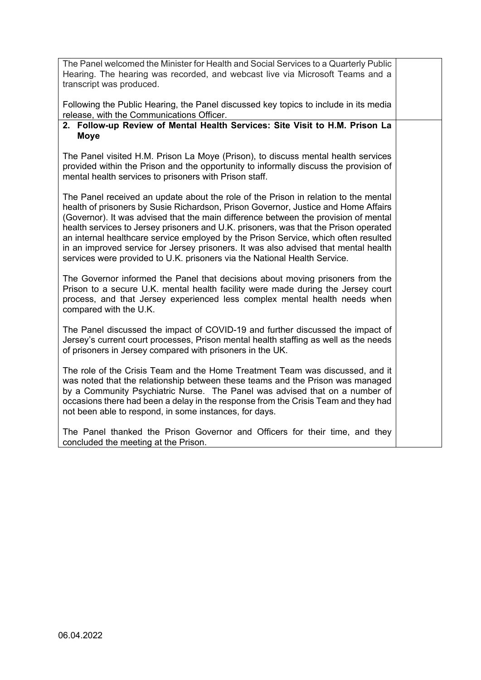The Panel welcomed the Minister for Health and Social Services to a Quarterly Public Hearing. The hearing was recorded, and webcast live via Microsoft Teams and a transcript was produced.

Following the Public Hearing, the Panel discussed key topics to include in its media release, with the Communications Officer.

#### **2. Follow-up Review of Mental Health Services: Site Visit to H.M. Prison La Moye**

The Panel visited H.M. Prison La Moye (Prison), to discuss mental health services provided within the Prison and the opportunity to informally discuss the provision of mental health services to prisoners with Prison staff.

The Panel received an update about the role of the Prison in relation to the mental health of prisoners by Susie Richardson, Prison Governor, Justice and Home Affairs (Governor). It was advised that the main difference between the provision of mental health services to Jersey prisoners and U.K. prisoners, was that the Prison operated an internal healthcare service employed by the Prison Service, which often resulted in an improved service for Jersey prisoners. It was also advised that mental health services were provided to U.K. prisoners via the National Health Service.

The Governor informed the Panel that decisions about moving prisoners from the Prison to a secure U.K. mental health facility were made during the Jersey court process, and that Jersey experienced less complex mental health needs when compared with the U.K.

The Panel discussed the impact of COVID-19 and further discussed the impact of Jersey's current court processes, Prison mental health staffing as well as the needs of prisoners in Jersey compared with prisoners in the UK.

The role of the Crisis Team and the Home Treatment Team was discussed, and it was noted that the relationship between these teams and the Prison was managed by a Community Psychiatric Nurse. The Panel was advised that on a number of occasions there had been a delay in the response from the Crisis Team and they had not been able to respond, in some instances, for days.

The Panel thanked the Prison Governor and Officers for their time, and they concluded the meeting at the Prison.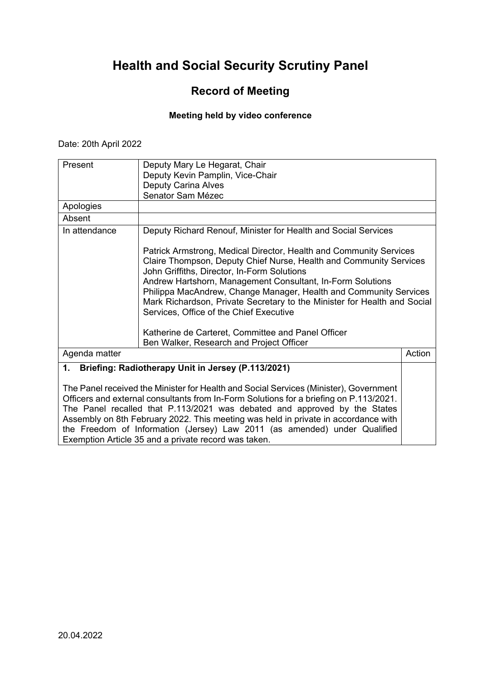### **Record of Meeting**

#### **Meeting held by video conference**

Date: 20th April 2022

| Present       | Deputy Mary Le Hegarat, Chair                                                                                                                                                                                                                                                                                                                                                                                                                                                                                                                       |        |
|---------------|-----------------------------------------------------------------------------------------------------------------------------------------------------------------------------------------------------------------------------------------------------------------------------------------------------------------------------------------------------------------------------------------------------------------------------------------------------------------------------------------------------------------------------------------------------|--------|
|               | Deputy Kevin Pamplin, Vice-Chair                                                                                                                                                                                                                                                                                                                                                                                                                                                                                                                    |        |
|               | <b>Deputy Carina Alves</b>                                                                                                                                                                                                                                                                                                                                                                                                                                                                                                                          |        |
|               | Senator Sam Mézec                                                                                                                                                                                                                                                                                                                                                                                                                                                                                                                                   |        |
| Apologies     |                                                                                                                                                                                                                                                                                                                                                                                                                                                                                                                                                     |        |
| Absent        |                                                                                                                                                                                                                                                                                                                                                                                                                                                                                                                                                     |        |
| In attendance | Deputy Richard Renouf, Minister for Health and Social Services                                                                                                                                                                                                                                                                                                                                                                                                                                                                                      |        |
|               | Patrick Armstrong, Medical Director, Health and Community Services<br>Claire Thompson, Deputy Chief Nurse, Health and Community Services<br>John Griffiths, Director, In-Form Solutions<br>Andrew Hartshorn, Management Consultant, In-Form Solutions<br>Philippa MacAndrew, Change Manager, Health and Community Services<br>Mark Richardson, Private Secretary to the Minister for Health and Social<br>Services, Office of the Chief Executive<br>Katherine de Carteret, Committee and Panel Officer<br>Ben Walker, Research and Project Officer |        |
| Agenda matter |                                                                                                                                                                                                                                                                                                                                                                                                                                                                                                                                                     | Action |
| 1.            | Briefing: Radiotherapy Unit in Jersey (P.113/2021)                                                                                                                                                                                                                                                                                                                                                                                                                                                                                                  |        |
|               | The Panel received the Minister for Health and Social Services (Minister), Government<br>Officers and external consultants from In-Form Solutions for a briefing on P.113/2021.<br>The Panel recalled that P.113/2021 was debated and approved by the States<br>Assembly on 8th February 2022. This meeting was held in private in accordance with                                                                                                                                                                                                  |        |

the Freedom of Information (Jersey) Law 2011 (as amended) under Qualified

Exemption Article 35 and a private record was taken.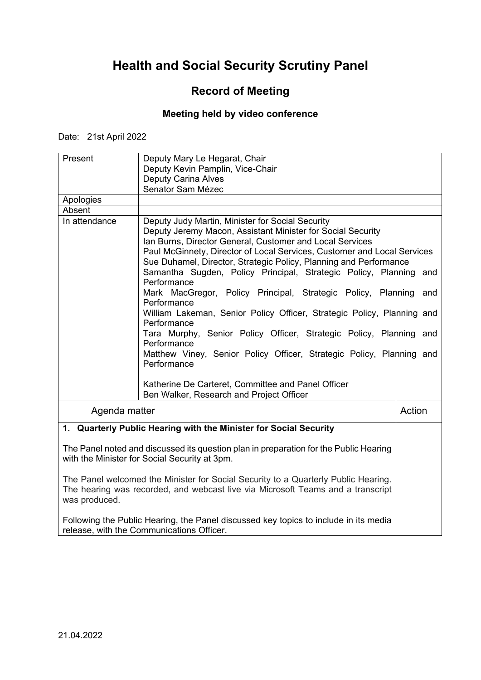## **Record of Meeting**

### **Meeting held by video conference**

Date: 21st April 2022

| Present                                                                                                                                                                                | Deputy Mary Le Hegarat, Chair<br>Deputy Kevin Pamplin, Vice-Chair<br><b>Deputy Carina Alves</b>                                                                                                                                                                                                                                                                                                                                                                                                                                                                                                                                                                                                                                                                                                                                                                   |            |
|----------------------------------------------------------------------------------------------------------------------------------------------------------------------------------------|-------------------------------------------------------------------------------------------------------------------------------------------------------------------------------------------------------------------------------------------------------------------------------------------------------------------------------------------------------------------------------------------------------------------------------------------------------------------------------------------------------------------------------------------------------------------------------------------------------------------------------------------------------------------------------------------------------------------------------------------------------------------------------------------------------------------------------------------------------------------|------------|
|                                                                                                                                                                                        | Senator Sam Mézec                                                                                                                                                                                                                                                                                                                                                                                                                                                                                                                                                                                                                                                                                                                                                                                                                                                 |            |
| Apologies<br>Absent                                                                                                                                                                    |                                                                                                                                                                                                                                                                                                                                                                                                                                                                                                                                                                                                                                                                                                                                                                                                                                                                   |            |
| In attendance                                                                                                                                                                          | Deputy Judy Martin, Minister for Social Security<br>Deputy Jeremy Macon, Assistant Minister for Social Security<br>Ian Burns, Director General, Customer and Local Services<br>Paul McGinnety, Director of Local Services, Customer and Local Services<br>Sue Duhamel, Director, Strategic Policy, Planning and Performance<br>Samantha Sugden, Policy Principal, Strategic Policy, Planning<br>Performance<br>Mark MacGregor, Policy Principal, Strategic Policy, Planning<br>Performance<br>William Lakeman, Senior Policy Officer, Strategic Policy, Planning and<br>Performance<br>Tara Murphy, Senior Policy Officer, Strategic Policy, Planning and<br>Performance<br>Matthew Viney, Senior Policy Officer, Strategic Policy, Planning and<br>Performance<br>Katherine De Carteret, Committee and Panel Officer<br>Ben Walker, Research and Project Officer | and<br>and |
| Agenda matter                                                                                                                                                                          |                                                                                                                                                                                                                                                                                                                                                                                                                                                                                                                                                                                                                                                                                                                                                                                                                                                                   | Action     |
|                                                                                                                                                                                        | 1. Quarterly Public Hearing with the Minister for Social Security                                                                                                                                                                                                                                                                                                                                                                                                                                                                                                                                                                                                                                                                                                                                                                                                 |            |
|                                                                                                                                                                                        |                                                                                                                                                                                                                                                                                                                                                                                                                                                                                                                                                                                                                                                                                                                                                                                                                                                                   |            |
|                                                                                                                                                                                        | The Panel noted and discussed its question plan in preparation for the Public Hearing<br>with the Minister for Social Security at 3pm.                                                                                                                                                                                                                                                                                                                                                                                                                                                                                                                                                                                                                                                                                                                            |            |
| The Panel welcomed the Minister for Social Security to a Quarterly Public Hearing.<br>The hearing was recorded, and webcast live via Microsoft Teams and a transcript<br>was produced. |                                                                                                                                                                                                                                                                                                                                                                                                                                                                                                                                                                                                                                                                                                                                                                                                                                                                   |            |
| Following the Public Hearing, the Panel discussed key topics to include in its media<br>release, with the Communications Officer.                                                      |                                                                                                                                                                                                                                                                                                                                                                                                                                                                                                                                                                                                                                                                                                                                                                                                                                                                   |            |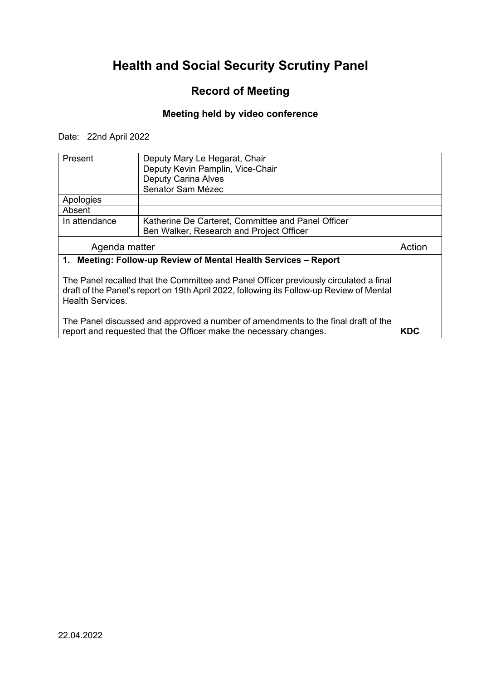## **Record of Meeting**

### **Meeting held by video conference**

Date: 22nd April 2022

| Present                                                                               | Deputy Mary Le Hegarat, Chair                                                            |        |  |
|---------------------------------------------------------------------------------------|------------------------------------------------------------------------------------------|--------|--|
|                                                                                       | Deputy Kevin Pamplin, Vice-Chair                                                         |        |  |
|                                                                                       | <b>Deputy Carina Alves</b>                                                               |        |  |
|                                                                                       | Senator Sam Mézec                                                                        |        |  |
| Apologies                                                                             |                                                                                          |        |  |
| Absent                                                                                |                                                                                          |        |  |
| In attendance                                                                         | Katherine De Carteret, Committee and Panel Officer                                       |        |  |
|                                                                                       | Ben Walker, Research and Project Officer                                                 |        |  |
| Agenda matter                                                                         |                                                                                          | Action |  |
|                                                                                       | 1. Meeting: Follow-up Review of Mental Health Services - Report                          |        |  |
|                                                                                       |                                                                                          |        |  |
| The Panel recalled that the Committee and Panel Officer previously circulated a final |                                                                                          |        |  |
|                                                                                       | draft of the Panel's report on 19th April 2022, following its Follow-up Review of Mental |        |  |
| <b>Health Services.</b>                                                               |                                                                                          |        |  |
|                                                                                       |                                                                                          |        |  |
| The Panel discussed and approved a number of amendments to the final draft of the     |                                                                                          |        |  |
| <b>KDC</b><br>report and requested that the Officer make the necessary changes.       |                                                                                          |        |  |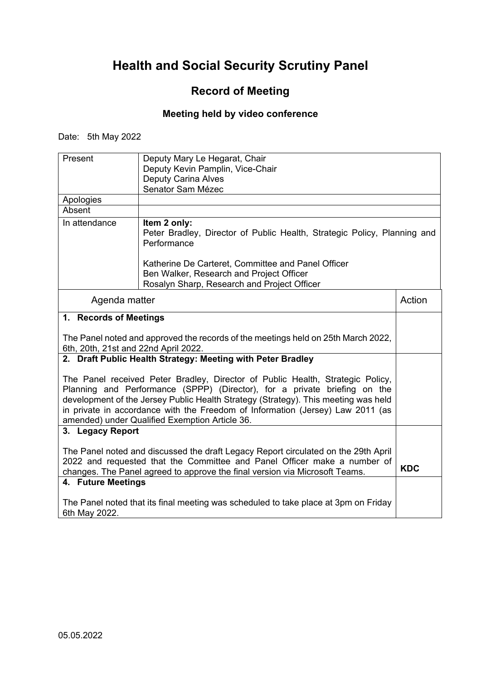## **Record of Meeting**

### **Meeting held by video conference**

Date: 5th May 2022

| Present                                                                                                                                                                                                                                                                                                                                                                               | Deputy Mary Le Hegarat, Chair<br>Deputy Kevin Pamplin, Vice-Chair<br><b>Deputy Carina Alves</b><br>Senator Sam Mézec                          |            |
|---------------------------------------------------------------------------------------------------------------------------------------------------------------------------------------------------------------------------------------------------------------------------------------------------------------------------------------------------------------------------------------|-----------------------------------------------------------------------------------------------------------------------------------------------|------------|
| Apologies                                                                                                                                                                                                                                                                                                                                                                             |                                                                                                                                               |            |
| Absent                                                                                                                                                                                                                                                                                                                                                                                |                                                                                                                                               |            |
| In attendance                                                                                                                                                                                                                                                                                                                                                                         | Item 2 only:<br>Peter Bradley, Director of Public Health, Strategic Policy, Planning and<br>Performance                                       |            |
|                                                                                                                                                                                                                                                                                                                                                                                       | Katherine De Carteret, Committee and Panel Officer<br>Ben Walker, Research and Project Officer<br>Rosalyn Sharp, Research and Project Officer |            |
| Agenda matter                                                                                                                                                                                                                                                                                                                                                                         |                                                                                                                                               | Action     |
| 1. Records of Meetings                                                                                                                                                                                                                                                                                                                                                                |                                                                                                                                               |            |
| The Panel noted and approved the records of the meetings held on 25th March 2022,<br>6th, 20th, 21st and 22nd April 2022.                                                                                                                                                                                                                                                             |                                                                                                                                               |            |
| 2. Draft Public Health Strategy: Meeting with Peter Bradley                                                                                                                                                                                                                                                                                                                           |                                                                                                                                               |            |
| The Panel received Peter Bradley, Director of Public Health, Strategic Policy,<br>Planning and Performance (SPPP) (Director), for a private briefing on the<br>development of the Jersey Public Health Strategy (Strategy). This meeting was held<br>in private in accordance with the Freedom of Information (Jersey) Law 2011 (as<br>amended) under Qualified Exemption Article 36. |                                                                                                                                               |            |
| 3. Legacy Report                                                                                                                                                                                                                                                                                                                                                                      |                                                                                                                                               |            |
| The Panel noted and discussed the draft Legacy Report circulated on the 29th April<br>2022 and requested that the Committee and Panel Officer make a number of<br>changes. The Panel agreed to approve the final version via Microsoft Teams.                                                                                                                                         |                                                                                                                                               | <b>KDC</b> |
| 4. Future Meetings                                                                                                                                                                                                                                                                                                                                                                    |                                                                                                                                               |            |
| The Panel noted that its final meeting was scheduled to take place at 3pm on Friday<br>6th May 2022.                                                                                                                                                                                                                                                                                  |                                                                                                                                               |            |